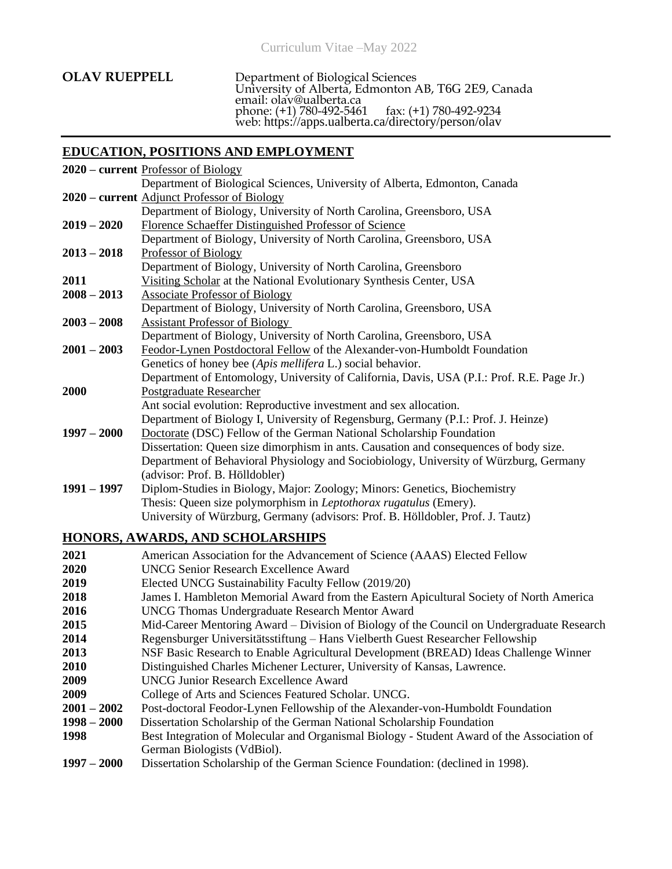| <b>OLAV RUEPPELL</b> | Department of Biological Sciences<br>University of Alberta, Edmonton AB, T6G 2E9, Canada<br>email: olav@ualberta.ca<br>phone: (+1) 780-492-5461 fax: (+1) 780-492-9234<br>web: https://apps.ualberta.ca/directory/person/olav |
|----------------------|-------------------------------------------------------------------------------------------------------------------------------------------------------------------------------------------------------------------------------|
|                      |                                                                                                                                                                                                                               |

# **EDUCATION, POSITIONS AND EMPLOYMENT**

|               | 2020 - current Professor of Biology                                                        |
|---------------|--------------------------------------------------------------------------------------------|
|               | Department of Biological Sciences, University of Alberta, Edmonton, Canada                 |
|               | 2020 – current Adjunct Professor of Biology                                                |
|               | Department of Biology, University of North Carolina, Greensboro, USA                       |
| $2019 - 2020$ | Florence Schaeffer Distinguished Professor of Science                                      |
|               | Department of Biology, University of North Carolina, Greensboro, USA                       |
| $2013 - 2018$ | Professor of Biology                                                                       |
|               | Department of Biology, University of North Carolina, Greensboro                            |
| 2011          | Visiting Scholar at the National Evolutionary Synthesis Center, USA                        |
| $2008 - 2013$ | <b>Associate Professor of Biology</b>                                                      |
|               | Department of Biology, University of North Carolina, Greensboro, USA                       |
| $2003 - 2008$ | <b>Assistant Professor of Biology</b>                                                      |
|               | Department of Biology, University of North Carolina, Greensboro, USA                       |
| $2001 - 2003$ | Feodor-Lynen Postdoctoral Fellow of the Alexander-von-Humboldt Foundation                  |
|               | Genetics of honey bee (Apis mellifera L.) social behavior.                                 |
|               | Department of Entomology, University of California, Davis, USA (P.I.: Prof. R.E. Page Jr.) |
| 2000          | Postgraduate Researcher                                                                    |
|               | Ant social evolution: Reproductive investment and sex allocation.                          |
|               | Department of Biology I, University of Regensburg, Germany (P.I.: Prof. J. Heinze)         |
| $1997 - 2000$ | Doctorate (DSC) Fellow of the German National Scholarship Foundation                       |
|               | Dissertation: Queen size dimorphism in ants. Causation and consequences of body size.      |
|               | Department of Behavioral Physiology and Sociobiology, University of Würzburg, Germany      |
|               | (advisor: Prof. B. Hölldobler)                                                             |
| $1991 - 1997$ | Diplom-Studies in Biology, Major: Zoology; Minors: Genetics, Biochemistry                  |
|               | Thesis: Queen size polymorphism in <i>Leptothorax rugatulus</i> (Emery).                   |
|               | University of Würzburg, Germany (advisors: Prof. B. Hölldobler, Prof. J. Tautz)            |

# **HONORS, AWARDS, AND SCHOLARSHIPS**

| 2021          | American Association for the Advancement of Science (AAAS) Elected Fellow                  |
|---------------|--------------------------------------------------------------------------------------------|
| 2020          | <b>UNCG Senior Research Excellence Award</b>                                               |
| 2019          | Elected UNCG Sustainability Faculty Fellow (2019/20)                                       |
| 2018          | James I. Hambleton Memorial Award from the Eastern Apicultural Society of North America    |
| 2016          | <b>UNCG Thomas Undergraduate Research Mentor Award</b>                                     |
| 2015          | Mid-Career Mentoring Award – Division of Biology of the Council on Undergraduate Research  |
| 2014          | Regensburger Universitätsstiftung – Hans Vielberth Guest Researcher Fellowship             |
| 2013          | NSF Basic Research to Enable Agricultural Development (BREAD) Ideas Challenge Winner       |
| <b>2010</b>   | Distinguished Charles Michener Lecturer, University of Kansas, Lawrence.                   |
| 2009          | <b>UNCG Junior Research Excellence Award</b>                                               |
| 2009          | College of Arts and Sciences Featured Scholar. UNCG.                                       |
| $2001 - 2002$ | Post-doctoral Feodor-Lynen Fellowship of the Alexander-von-Humboldt Foundation             |
| $1998 - 2000$ | Dissertation Scholarship of the German National Scholarship Foundation                     |
| 1998          | Best Integration of Molecular and Organismal Biology - Student Award of the Association of |
|               | German Biologists (VdBiol).                                                                |
| $1997 - 2000$ | Dissertation Scholarship of the German Science Foundation: (declined in 1998).             |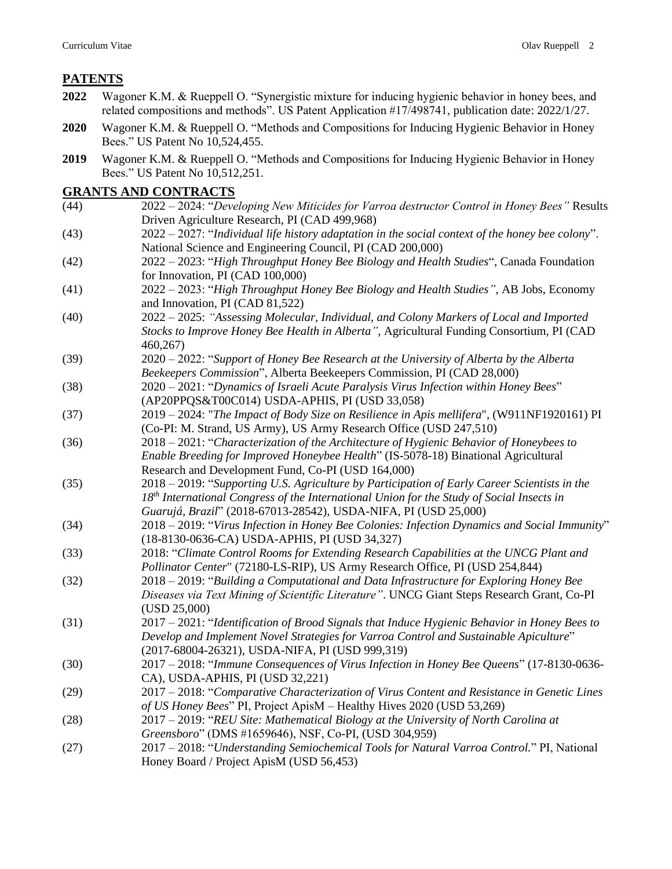# **PATENTS**

- **2022** Wagoner K.M. & Rueppell O. "Synergistic mixture for inducing hygienic behavior in honey bees, and related compositions and methods". US Patent Application #17/498741, publication date: 2022/1/27.
- **2020** Wagoner K.M. & Rueppell O. "Methods and Compositions for Inducing Hygienic Behavior in Honey Bees." US Patent No 10,524,455.
- **2019** Wagoner K.M. & Rueppell O. "Methods and Compositions for Inducing Hygienic Behavior in Honey Bees." US Patent No 10,512,251.

### **GRANTS AND CONTRACTS**

- (44) 2022 2024: "*Developing New Miticides for Varroa destructor Control in Honey Bees"* Results Driven Agriculture Research, PI (CAD 499,968)
- (43) 2022 2027: "*Individual life history adaptation in the social context of the honey bee colony*". National Science and Engineering Council, PI (CAD 200,000)
- (42) 2022 2023: "*High Throughput Honey Bee Biology and Health Studies*", Canada Foundation for Innovation, PI (CAD 100,000)
- (41) 2022 2023: "*High Throughput Honey Bee Biology and Health Studies"*, AB Jobs, Economy and Innovation, PI (CAD 81,522)
- (40) 2022 2025: *"Assessing Molecular, Individual, and Colony Markers of Local and Imported Stocks to Improve Honey Bee Health in Alberta"*, Agricultural Funding Consortium, PI (CAD 460,267)
- (39) 2020 2022: "*Support of Honey Bee Research at the University of Alberta by the Alberta Beekeepers Commission*", Alberta Beekeepers Commission, PI (CAD 28,000)
- (38) 2020 2021: "*Dynamics of Israeli Acute Paralysis Virus Infection within Honey Bees*" (AP20PPQS&T00C014) USDA-APHIS, PI (USD 33,058)
- (37) 2019 2024: "*The Impact of Body Size on Resilience in Apis mellifera*", (W911NF1920161) PI (Co-PI: M. Strand, US Army), US Army Research Office (USD 247,510)
- (36) 2018 2021: "*Characterization of the Architecture of Hygienic Behavior of Honeybees to Enable Breeding for Improved Honeybee Health*" (IS-5078-18) Binational Agricultural Research and Development Fund, Co-PI (USD 164,000)
- (35) 2018 2019: "*Supporting U.S. Agriculture by Participation of Early Career Scientists in the 18th International Congress of the International Union for the Study of Social Insects in Guarujá, Brazil*" (2018-67013-28542), USDA-NIFA, PI (USD 25,000)
- (34) 2018 2019: "*Virus Infection in Honey Bee Colonies: Infection Dynamics and Social Immunity*" (18-8130-0636-CA) USDA-APHIS, PI (USD 34,327)
- (33) 2018: "*Climate Control Rooms for Extending Research Capabilities at the UNCG Plant and Pollinator Center*" (72180-LS-RIP), US Army Research Office, PI (USD 254,844)
- (32) 2018 2019: "*Building a Computational and Data Infrastructure for Exploring Honey Bee Diseases via Text Mining of Scientific Literature"*. UNCG Giant Steps Research Grant, Co-PI (USD 25,000)
- (31) 2017 2021: "*Identification of Brood Signals that Induce Hygienic Behavior in Honey Bees to Develop and Implement Novel Strategies for Varroa Control and Sustainable Apiculture*" (2017-68004-26321), USDA-NIFA, PI (USD 999,319)
- (30) 2017 2018: "*Immune Consequences of Virus Infection in Honey Bee Queens*" (17-8130-0636- CA), USDA-APHIS, PI (USD 32,221)
- (29) 2017 2018: "*Comparative Characterization of Virus Content and Resistance in Genetic Lines of US Honey Bees*" PI, Project ApisM – Healthy Hives 2020 (USD 53,269)
- (28) 2017 2019: "*REU Site: Mathematical Biology at the University of North Carolina at Greensboro*" (DMS #1659646), NSF, Co-PI, (USD 304,959)
- (27) 2017 2018: "*Understanding Semiochemical Tools for Natural Varroa Control.*" PI, National Honey Board / Project ApisM (USD 56,453)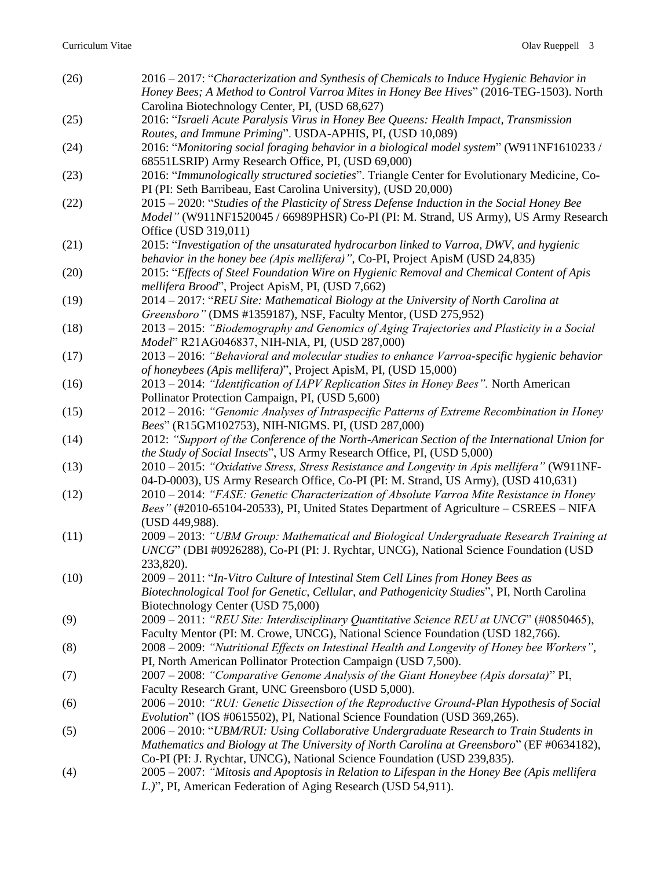| (26) | 2016 – 2017: "Characterization and Synthesis of Chemicals to Induce Hygienic Behavior in<br>Honey Bees; A Method to Control Varroa Mites in Honey Bee Hives" (2016-TEG-1503). North<br>Carolina Biotechnology Center, PI, (USD 68,627)                          |
|------|-----------------------------------------------------------------------------------------------------------------------------------------------------------------------------------------------------------------------------------------------------------------|
| (25) | 2016: "Israeli Acute Paralysis Virus in Honey Bee Queens: Health Impact, Transmission<br>Routes, and Immune Priming". USDA-APHIS, PI, (USD 10,089)                                                                                                              |
| (24) | 2016: "Monitoring social foraging behavior in a biological model system" (W911NF1610233 /<br>68551LSRIP) Army Research Office, PI, (USD 69,000)                                                                                                                 |
| (23) | 2016: "Immunologically structured societies". Triangle Center for Evolutionary Medicine, Co-<br>PI (PI: Seth Barribeau, East Carolina University), (USD 20,000)                                                                                                 |
| (22) | 2015 - 2020: "Studies of the Plasticity of Stress Defense Induction in the Social Honey Bee<br>Model" (W911NF1520045 / 66989PHSR) Co-PI (PI: M. Strand, US Army), US Army Research<br>Office (USD 319,011)                                                      |
| (21) | 2015: "Investigation of the unsaturated hydrocarbon linked to Varroa, DWV, and hygienic<br>behavior in the honey bee (Apis mellifera)", Co-PI, Project ApisM (USD 24,835)                                                                                       |
| (20) | 2015: "Effects of Steel Foundation Wire on Hygienic Removal and Chemical Content of Apis<br>mellifera Brood", Project ApisM, PI, (USD 7,662)                                                                                                                    |
| (19) | 2014 - 2017: "REU Site: Mathematical Biology at the University of North Carolina at<br>Greensboro" (DMS #1359187), NSF, Faculty Mentor, (USD 275,952)                                                                                                           |
| (18) | 2013 – 2015: "Biodemography and Genomics of Aging Trajectories and Plasticity in a Social<br>Model" R21AG046837, NIH-NIA, PI, (USD 287,000)                                                                                                                     |
| (17) | 2013 – 2016: "Behavioral and molecular studies to enhance Varroa-specific hygienic behavior<br>of honeybees (Apis mellifera)", Project ApisM, PI, (USD 15,000)                                                                                                  |
| (16) | 2013 – 2014: "Identification of IAPV Replication Sites in Honey Bees". North American<br>Pollinator Protection Campaign, PI, (USD 5,600)                                                                                                                        |
| (15) | 2012 – 2016: "Genomic Analyses of Intraspecific Patterns of Extreme Recombination in Honey<br>Bees" (R15GM102753), NIH-NIGMS. PI, (USD 287,000)                                                                                                                 |
| (14) | 2012: "Support of the Conference of the North-American Section of the International Union for<br>the Study of Social Insects", US Army Research Office, PI, (USD 5,000)                                                                                         |
| (13) | 2010 - 2015: "Oxidative Stress, Stress Resistance and Longevity in Apis mellifera" (W911NF-<br>04-D-0003), US Army Research Office, Co-PI (PI: M. Strand, US Army), (USD 410,631)                                                                               |
| (12) | 2010 - 2014: "FASE: Genetic Characterization of Absolute Varroa Mite Resistance in Honey<br>Bees" (#2010-65104-20533), PI, United States Department of Agriculture - CSREES - NIFA<br>(USD 449,988).                                                            |
| (11) | 2009 - 2013: "UBM Group: Mathematical and Biological Undergraduate Research Training at<br>UNCG" (DBI #0926288), Co-PI (PI: J. Rychtar, UNCG), National Science Foundation (USD<br>233,820).                                                                    |
| (10) | 2009 – 2011: "In-Vitro Culture of Intestinal Stem Cell Lines from Honey Bees as<br>Biotechnological Tool for Genetic, Cellular, and Pathogenicity Studies", PI, North Carolina<br>Biotechnology Center (USD 75,000)                                             |
| (9)  | 2009 - 2011: "REU Site: Interdisciplinary Quantitative Science REU at UNCG" (#0850465),<br>Faculty Mentor (PI: M. Crowe, UNCG), National Science Foundation (USD 182,766).                                                                                      |
| (8)  | 2008 – 2009: "Nutritional Effects on Intestinal Health and Longevity of Honey bee Workers",<br>PI, North American Pollinator Protection Campaign (USD 7,500).                                                                                                   |
| (7)  | 2007 - 2008: "Comparative Genome Analysis of the Giant Honeybee (Apis dorsata)" PI,<br>Faculty Research Grant, UNC Greensboro (USD 5,000).                                                                                                                      |
| (6)  | 2006 - 2010: "RUI: Genetic Dissection of the Reproductive Ground-Plan Hypothesis of Social<br>Evolution" (IOS #0615502), PI, National Science Foundation (USD 369,265).                                                                                         |
| (5)  | 2006 - 2010: "UBM/RUI: Using Collaborative Undergraduate Research to Train Students in<br>Mathematics and Biology at The University of North Carolina at Greensboro" (EF #0634182),<br>Co-PI (PI: J. Rychtar, UNCG), National Science Foundation (USD 239,835). |
| (4)  | 2005 – 2007: "Mitosis and Apoptosis in Relation to Lifespan in the Honey Bee (Apis mellifera<br>L.)", PI, American Federation of Aging Research (USD 54,911).                                                                                                   |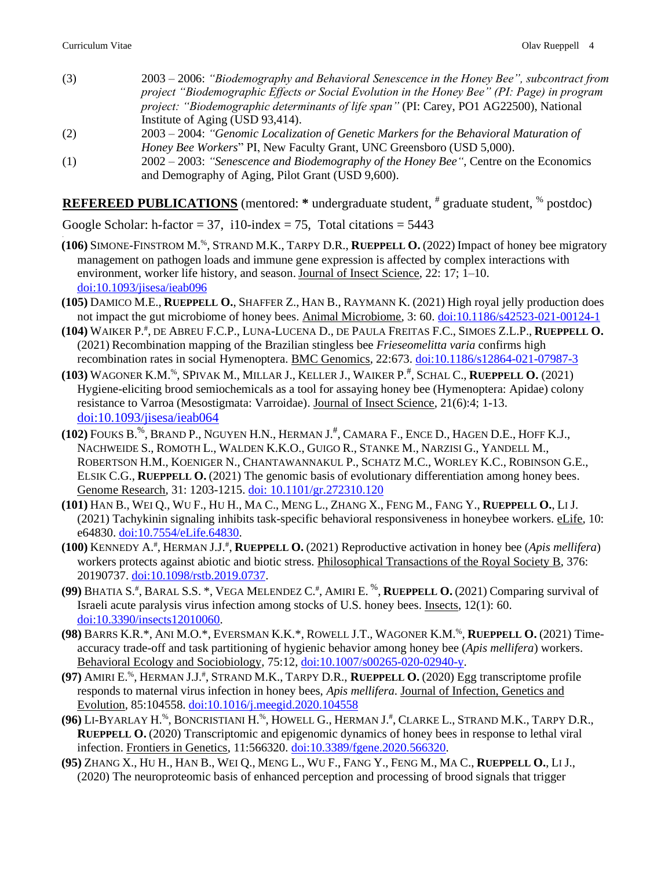.

- (3) 2003 2006: *"Biodemography and Behavioral Senescence in the Honey Bee", subcontract from project "Biodemographic Effects or Social Evolution in the Honey Bee" (PI: Page) in program project: "Biodemographic determinants of life span"* (PI: Carey, PO1 AG22500), National Institute of Aging (USD 93,414).
- (2) 2003 2004: *"Genomic Localization of Genetic Markers for the Behavioral Maturation of Honey Bee Workers*" PI, New Faculty Grant, UNC Greensboro (USD 5,000).
- (1) 2002 2003: *"Senescence and Biodemography of the Honey Bee"*, Centre on the Economics and Demography of Aging, Pilot Grant (USD 9,600).

**REFEREED PUBLICATIONS** (mentored: \* undergraduate student, # graduate student, % postdoc)

Google Scholar: h-factor = 37, i10-index = 75, Total citations =  $5443$ 

- **(106)** SIMONE-FINSTROM M.%, STRAND M.K., TARPY D.R., **RUEPPELL O.** (2022) Impact of honey bee migratory management on pathogen loads and immune gene expression is affected by complex interactions with environment, worker life history, and season. Journal of Insect Science, 22: 17; 1–10. [doi:10.1093/jisesa/ieab096](https://doi.org/10.1093/jisesa/ieab096)
- **(105)** DAMICO M.E., **RUEPPELL O.**, SHAFFER Z., HAN B., RAYMANN K. (2021) High royal jelly production does not impact the gut microbiome of honey bees. Animal Microbiome, 3: 60. [doi:10.1186/s42523-021-00124-1](https://doi.org/10.1186/s42523-021-00124-1)
- **(104)** WAIKER P. # , DE ABREU F.C.P., LUNA-LUCENA D., DE PAULA FREITAS F.C., SIMOES Z.L.P., **RUEPPELL O.** (2021) Recombination mapping of the Brazilian stingless bee *Frieseomelitta varia* confirms high recombination rates in social Hymenoptera. BMC Genomics, 22:673. [doi:10.1186/s12864-021-07987-3](https://doi.org/10.1186/s12864-021-07987-3)
- **(103)** WAGONER K.M.%, SPIVAK M., MILLAR J., KELLER J., WAIKER P.# , SCHAL C., **RUEPPELL O.** (2021) Hygiene-eliciting brood semiochemicals as a tool for assaying honey bee (Hymenoptera: Apidae) colony resistance to Varroa (Mesostigmata: Varroidae). Journal of Insect Science, 21(6):4; 1-13. [doi:10.1093/jisesa/ieab064](https://doi.org/10.1093/jisesa/ieab064)
- **(102)** FOUKS B.%, BRAND P., NGUYEN H.N., HERMAN J. # , CAMARA F., ENCE D., HAGEN D.E., HOFF K.J., NACHWEIDE S., ROMOTH L., WALDEN K.K.O., GUIGO R., STANKE M., NARZISI G., YANDELL M., ROBERTSON H.M., KOENIGER N., CHANTAWANNAKUL P., SCHATZ M.C., WORLEY K.C., ROBINSON G.E., ELSIK C.G., **RUEPPELL O.** (2021) The genomic basis of evolutionary differentiation among honey bees. Genome Research, 31: 1203-1215. doi: [10.1101/gr.272310.120](https://genome.cshlp.org/content/early/2021/05/04/gr.272310.120.abstract)
- **(101)** HAN B., WEI Q., WU F., HU H., MA C., MENG L., ZHANG X., FENG M., FANG Y., **RUEPPELL O.**, LI J. (2021) Tachykinin signaling inhibits task-specific behavioral responsiveness in honeybee workers. eLife, 10: e64830. [doi:10.7554/eLife.64830.](https://elifesciences.org/articles/64830)
- **(100)** KENNEDY A. # , HERMAN J.J. # , **RUEPPELL O.** (2021) Reproductive activation in honey bee (*Apis mellifera*) workers protects against abiotic and biotic stress. Philosophical Transactions of the Royal Society B, 376: 20190737. [doi:10.1098/rstb.2019.0737.](https://royalsocietypublishing.org/doi/full/10.1098/rstb.2019.0737?af=R)
- (99) BHATIA S.<sup>#</sup>, BARAL S.S. \*, VEGA MELENDEZ C.<sup>#</sup>, AMIRI E. <sup>%</sup>, **RUEPPELL O.** (2021) Comparing survival of Israeli acute paralysis virus infection among stocks of U.S. honey bees. Insects, 12(1): 60. [doi:10.3390/insects12010060.](http://www.mdpi.com/2075-4450/12/1/60/htm)
- **(98)** BARRS K.R.\*, ANI M.O.\*, EVERSMAN K.K.\*, ROWELL J.T., WAGONER K.M.%, **RUEPPELL O.** (2021) Timeaccuracy trade-off and task partitioning of hygienic behavior among honey bee (*Apis mellifera*) workers. Behavioral Ecology and Sociobiology, 75:12, [doi:10.1007/s00265-020-02940-y.](https://link.springer.com/article/10.1007/s00265-020-02940-y)
- **(97)** AMIRI E.%, HERMAN J.J.# , STRAND M.K., TARPY D.R., **RUEPPELL O.** (2020) Egg transcriptome profile responds to maternal virus infection in honey bees, *Apis mellifera*. Journal of Infection, Genetics and Evolution, 85:104558. [doi:10.1016/j.meegid.2020.104558](https://doi.org/10.1016/j.meegid.2020.104558)
- **(96)** LI-BYARLAY H.%, BONCRISTIANI H.%, HOWELL G., HERMAN J.# , CLARKE L., STRAND M.K., TARPY D.R., **RUEPPELL O.** (2020) Transcriptomic and epigenomic dynamics of honey bees in response to lethal viral infection. Frontiers in Genetics, 11:566320. [doi:10.3389/fgene.2020.566320.](https://www.frontiersin.org/articles/10.3389/fgene.2020.566320/abstract)
- **(95)** ZHANG X., HU H., HAN B., WEI Q., MENG L., WU F., FANG Y., FENG M., MA C., **RUEPPELL O.**, LI J., (2020) The neuroproteomic basis of enhanced perception and processing of brood signals that trigger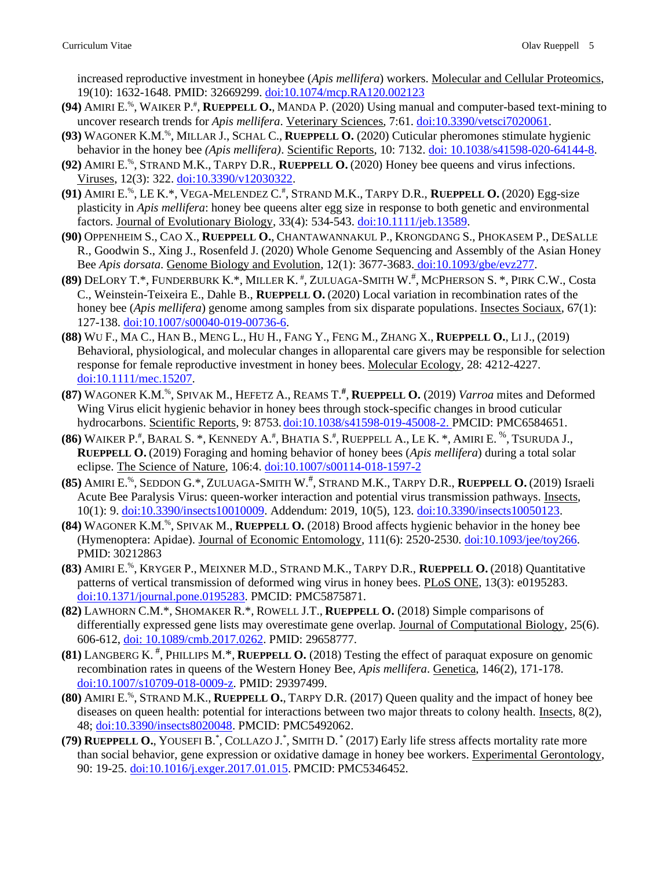increased reproductive investment in honeybee (*Apis mellifera*) workers. Molecular and Cellular Proteomics, 19(10): 1632-1648. PMID: 32669299. [doi:10.1074/mcp.RA120.002123](https://doi.org/10.1074/mcp.RA120.002123)

- **(94)** AMIRI E.%, WAIKER P.# , **RUEPPELL O.**, MANDA P. (2020) Using manual and computer-based text-mining to uncover research trends for *Apis mellifera*. Veterinary Sciences, 7:61. [doi:10.3390/vetsci7020061.](https://www.mdpi.com/2306-7381/7/2/61)
- **(93)** WAGONER K.M.%, MILLAR J., SCHAL C., **RUEPPELL O.** (2020) Cuticular pheromones stimulate hygienic behavior in the honey bee *(Apis mellifera)*. Scientific Reports, 10: 7132. [doi: 10.1038/s41598-020-64144-8.](https://www.nature.com/articles/s41598-020-64144-8.pdf?origin=ppub)
- **(92)** AMIRI E.%, STRAND M.K., TARPY D.R., **RUEPPELL O.** (2020) Honey bee queens and virus infections. Viruses, 12(3): 322. [doi:10.3390/v12030322.](https://doi.org/10.3390/v12030322)
- **(91)** AMIRI E.%, LE K.\*, VEGA-MELENDEZ C.# , STRAND M.K., TARPY D.R., **RUEPPELL O.** (2020) Egg-size plasticity in *Apis mellifera*: honey bee queens alter egg size in response to both genetic and environmental factors. Journal of Evolutionary Biology, 33(4): 534-543. [doi:10.1111/jeb.13589.](https://doi.org/10.1111/jeb.13589)
- **(90)** OPPENHEIM S., CAO X., **RUEPPELL O.**, CHANTAWANNAKUL P., KRONGDANG S., PHOKASEM P., DESALLE R., Goodwin S., Xing J., Rosenfeld J. (2020) Whole Genome Sequencing and Assembly of the Asian Honey Bee *Apis dorsata*. Genome Biology and Evolution, 12(1): 3677-3683. [doi:10.1093/gbe/evz277.](https://doi.org/10.1093/gbe/evz277)
- **(89)** DELORY T.\*, FUNDERBURK K.\*, MILLER K. # , ZULUAGA-SMITH W.# , MCPHERSON S. \*, PIRK C.W., Costa C., Weinstein-Teixeira E., Dahle B., **RUEPPELL O.** (2020) Local variation in recombination rates of the honey bee (*Apis mellifera*) genome among samples from six disparate populations. Insectes Sociaux, 67(1): 127-138. [doi:10.1007/s00040-019-00736-6.](https://link.springer.com/article/10.1007/s00040-019-00736-6?wt_mc=Internal.Event.1.SEM.ArticleAuthorOnlineFirst&utm_source=ArticleAuthorOnlineFirst&utm_medium=email&utm_content=AA_en_06082018&ArticleAuthorOnlineFirst_20191201)
- **(88)** WU F., MA C., HAN B., MENG L., HU H., FANG Y., FENG M., ZHANG X., **RUEPPELL O.**, LI J., (2019) Behavioral, physiological, and molecular changes in alloparental care givers may be responsible for selection response for female reproductive investment in honey bees. Molecular Ecology, 28: 4212-4227. [doi:10.1111/mec.15207.](https://onlinelibrary.wiley.com/doi/full/10.1111/mec.15207)
- **(87)** WAGONER K.M.%, SPIVAK M., HEFETZ A., REAMS T.**#** , **RUEPPELL O.** (2019) *Varroa* mites and Deformed Wing Virus elicit hygienic behavior in honey bees through stock-specific changes in brood cuticular hydrocarbons. Scientific Reports, 9: 8753. [doi:10.1038/s41598-019-45008-2.](https://doi.org/10.1038/s41598-019-45008-2) PMCID: PMC6584651.
- **(86)** WAIKER P.<sup>#</sup>, BARAL S. \*, KENNEDY A.<sup>#</sup>, BHATIA S.<sup>#</sup>, RUEPPELL A., LE K. \*, AMIRI E. <sup>%</sup>, TSURUDA J., **RUEPPELL O.** (2019) Foraging and homing behavior of honey bees (*Apis mellifera*) during a total solar eclipse. The Science of Nature, 106:4. [doi:10.1007/s00114-018-1597-2](https://doi.org/10.1007/s00114-018-1597-2)
- **(85)** AMIRI E.%, SEDDON G.\*, ZULUAGA-SMITH W.# , STRAND M.K., TARPY D.R., **RUEPPELL O.** (2019) Israeli Acute Bee Paralysis Virus: queen-worker interaction and potential virus transmission pathways. Insects, 10(1): 9. [doi:10.3390/insects10010009.](http://www.mdpi.com/2075-4450/10/1/9) Addendum: 2019, 10(5), 123. [doi:10.3390/insects10050123.](http://www.mdpi.com/2075-4450/10/5/123)
- **(84)** WAGONER K.M.%, SPIVAK M., **RUEPPELL O.** (2018) Brood affects hygienic behavior in the honey bee (Hymenoptera: Apidae). Journal of Economic Entomology, 111(6): 2520-2530. [doi:10.1093/jee/toy266.](https://doi.org/10.1093/jee/toy266) PMID: 30212863
- **(83)** AMIRI E.%, KRYGER P., MEIXNER M.D., STRAND M.K., TARPY D.R., **RUEPPELL O.** (2018) Quantitative patterns of vertical transmission of deformed wing virus in honey bees. PLoS ONE, 13(3): e0195283. [doi:10.1371/journal.pone.0195283.](https://doi.org/10.1371/journal.pone.0195283) PMCID: PMC5875871.
- **(82)** LAWHORN C.M.\*, SHOMAKER R.\*, ROWELL J.T., **RUEPPELL O.** (2018) Simple comparisons of differentially expressed gene lists may overestimate gene overlap. Journal of Computational Biology, 25(6). 606-612, [doi: 10.1089/cmb.2017.0262.](http://www.liebertpub.com/doi/10.1089/cmb.2017.0262) PMID: 29658777.
- **(81)** LANGBERG K. # , PHILLIPS M.\*, **RUEPPELL O.** (2018) Testing the effect of paraquat exposure on genomic recombination rates in queens of the Western Honey Bee, *Apis mellifera*. Genetica, 146(2), 171-178. [doi:10.1007/s10709-018-0009-z.](https://link.springer.com/article/10.1007%2Fs10709-018-0009-z) PMID: 29397499.
- **(80)** AMIRI E.%, STRAND M.K., **RUEPPELL O.**, TARPY D.R. (2017) Queen quality and the impact of honey bee diseases on queen health: potential for interactions between two major threats to colony health. Insects, 8(2), 48; [doi:10.3390/insects8020048.](http://www.mdpi.com/2075-4450/8/2/48) PMCID: PMC5492062.
- **(79) RUEPPELL O.**, YOUSEFI B.\* , COLLAZO J.\* , SMITH D. \* (2017) Early life stress affects mortality rate more than social behavior, gene expression or oxidative damage in honey bee workers. Experimental Gerontology, 90: 19-25. [doi:10.1016/j.exger.2017.01.015.](http://dx.doi.org/10.1016/j.exger.2017.01.015) PMCID: PMC5346452.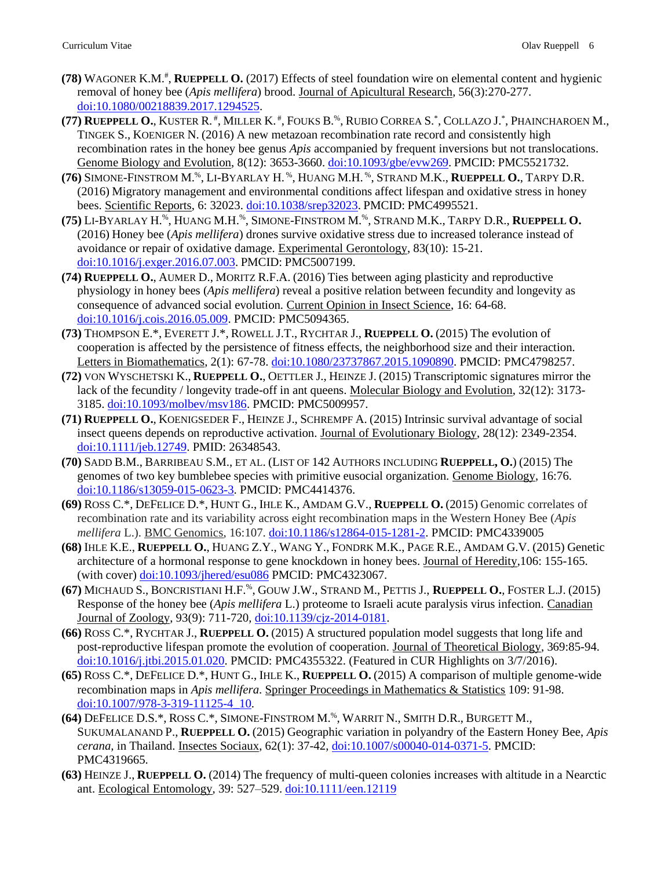- **(78)** WAGONER K.M.# , **RUEPPELL O.** (2017) Effects of steel foundation wire on elemental content and hygienic removal of honey bee (*Apis mellifera*) brood. Journal of Apicultural Research, 56(3):270-277. [doi:10.1080/00218839.2017.1294525.](http://dx.doi.org/10.1080/00218839.2017.1294525)
- (77) **Rueppell O.,** Kuster R. #, Miller K. #, Fouks B.%, Rubio Correa S.\*, Collazo J.\*, Phaincharoen M., TINGEK S., KOENIGER N. (2016) A new metazoan recombination rate record and consistently high recombination rates in the honey bee genus *Apis* accompanied by frequent inversions but not translocations. Genome Biology and Evolution, 8(12): 3653-3660. [doi:10.1093/gbe/evw269.](http://gbe.oxfordjournals.org/content/early/2016/11/06/gbe.evw269.abstract?keytype=ref&ijkey=s3xQTgM9R3Voz6m) PMCID: PMC5521732.
- **(76)** SIMONE-FINSTROM M.%, LI-BYARLAY H. %, HUANG M.H. %, STRAND M.K., **RUEPPELL O.**, TARPY D.R. (2016) Migratory management and environmental conditions affect lifespan and oxidative stress in honey bees. Scientific Reports, 6: 32023. [doi:10.1038/srep32023.](http://www.nature.com/articles/srep32023) PMCID: PMC4995521.
- **(75)** LI-BYARLAY H.%, HUANG M.H.%, SIMONE-FINSTROM M.%, STRAND M.K., TARPY D.R., **RUEPPELL O.** (2016) Honey bee (*Apis mellifera*) drones survive oxidative stress due to increased tolerance instead of avoidance or repair of oxidative damage. Experimental Gerontology, 83(10): 15-21. [doi:10.1016/j.exger.2016.07.003.](http://dx.doi.org/10.1016/j.exger.2016.07.003) PMCID: PMC5007199.
- **(74) RUEPPELL O.**, AUMER D., MORITZ R.F.A. (2016) Ties between aging plasticity and reproductive physiology in honey bees (*Apis mellifera*) reveal a positive relation between fecundity and longevity as consequence of advanced social evolution. Current Opinion in Insect Science, 16: 64-68. [doi:10.1016/j.cois.2016.05.009.](http://dx.doi.org/10.1016/j.cois.2016.05.009) PMCID: PMC5094365.
- **(73)** THOMPSON E.\*, EVERETT J.\*, ROWELL J.T., RYCHTAR J., **RUEPPELL O.** (2015) The evolution of cooperation is affected by the persistence of fitness effects, the neighborhood size and their interaction. Letters in Biomathematics, 2(1): 67-78. [doi:10.1080/23737867.2015.1090890.](http://www.tandfonline.com/doi/full/10.1080/23737867.2015.1090890) PMCID: PMC4798257.
- **(72)** VON WYSCHETSKI K., **RUEPPELL O.**, OETTLER J., HEINZE J. (2015) Transcriptomic signatures mirror the lack of the fecundity / longevity trade-off in ant queens. Molecular Biology and Evolution, 32(12): 3173- 3185. [doi:10.1093/molbev/msv186.](http://mbe.oxfordjournals.org/content/early/2015/09/03/molbev.msv186.abstract) PMCID: PMC5009957.
- **(71) RUEPPELL O.**, KOENIGSEDER F., HEINZE J., SCHREMPF A. (2015) Intrinsic survival advantage of social insect queens depends on reproductive activation. Journal of Evolutionary Biology, 28(12): 2349-2354. [doi:10.1111/jeb.12749.](http://onlinelibrary.wiley.com/doi/10.1111/jeb.12749/full) PMID: 26348543.
- **(70)** SADD B.M., BARRIBEAU S.M., ET AL. (LIST OF 142 AUTHORS INCLUDING **RUEPPELL, O.**) (2015) The genomes of two key bumblebee species with primitive eusocial organization. Genome Biology, 16:76. [doi:10.1186/s13059-015-0623-3.](http://dx.doi.org/10.1186/s13059-015-0623-3) PMCID: PMC4414376.
- **(69)** ROSS C.\*, DEFELICE D.\*, HUNT G., IHLE K., AMDAM G.V., **RUEPPELL O.** (2015) Genomic correlates of recombination rate and its variability across eight recombination maps in the Western Honey Bee (*Apis mellifera* L.). BMC Genomics, 16:107. [doi:10.1186/s12864-015-1281-2.](http://www.biomedcentral.com/1471-2164/16/107/abstract) PMCID: PMC4339005
- **(68)** IHLE K.E., **RUEPPELL O.**, HUANG Z.Y., WANG Y., FONDRK M.K., PAGE R.E., AMDAM G.V. (2015) Genetic architecture of a hormonal response to gene knockdown in honey bees. Journal of Heredity,106: 155-165. (with cover) [doi:10.1093/jhered/esu086](http://jhered.oxfordjournals.org/content/106/2/155) PMCID: PMC4323067.
- **(67)** MICHAUD S., BONCRISTIANI H.F.%, GOUW J.W., STRAND M., PETTIS J., **RUEPPELL O.**, FOSTER L.J. (2015) Response of the honey bee (*Apis mellifera* L.) proteome to Israeli acute paralysis virus infection. Canadian Journal of Zoology, 93(9): 711-720, [doi:10.1139/cjz-2014-0181.](http://www.nrcresearchpress.com/doi/abs/10.1139/cjz-2014-0181#.VH8H-jHF91Y)
- **(66)** ROSS C.\*, RYCHTAR J., **RUEPPELL O.** (2015) A structured population model suggests that long life and post-reproductive lifespan promote the evolution of cooperation. Journal of Theoretical Biology, 369:85-94. [doi:10.1016/j.jtbi.2015.01.020.](http://dx.doi.org/10.1016/j.jtbi.2015.01.020) PMCID: PMC4355322. (Featured in CUR Highlights on 3/7/2016).
- **(65)** ROSS C.\*, DEFELICE D.\*, HUNT G., IHLE K., **RUEPPELL O.** (2015) A comparison of multiple genome-wide recombination maps in *Apis mellifera*. Springer Proceedings in Mathematics & Statistics 109: 91-98. [doi:10.1007/978-3-319-11125-4\\_10.](http://link.springer.com/chapter/10.1007/978-3-319-11125-4_10)
- **(64)** DEFELICE D.S.\*, ROSS C.\*, SIMONE-FINSTROM M.%, WARRIT N., SMITH D.R., BURGETT M., SUKUMALANAND P., **RUEPPELL O.** (2015) Geographic variation in polyandry of the Eastern Honey Bee, *Apis cerana,* in Thailand. Insectes Sociaux, 62(1): 37-42, [doi:10.1007/s00040-014-0371-5.](http://link.springer.com/article/10.1007/s00040-014-0371-5) PMCID: PMC4319665.
- **(63)** HEINZE J., **RUEPPELL O.** (2014) The frequency of multi-queen colonies increases with altitude in a Nearctic ant. Ecological Entomology, 39: 527–529. [doi:10.1111/een.12119](http://onlinelibrary.wiley.com/doi/10.1111/een.12119/abstract)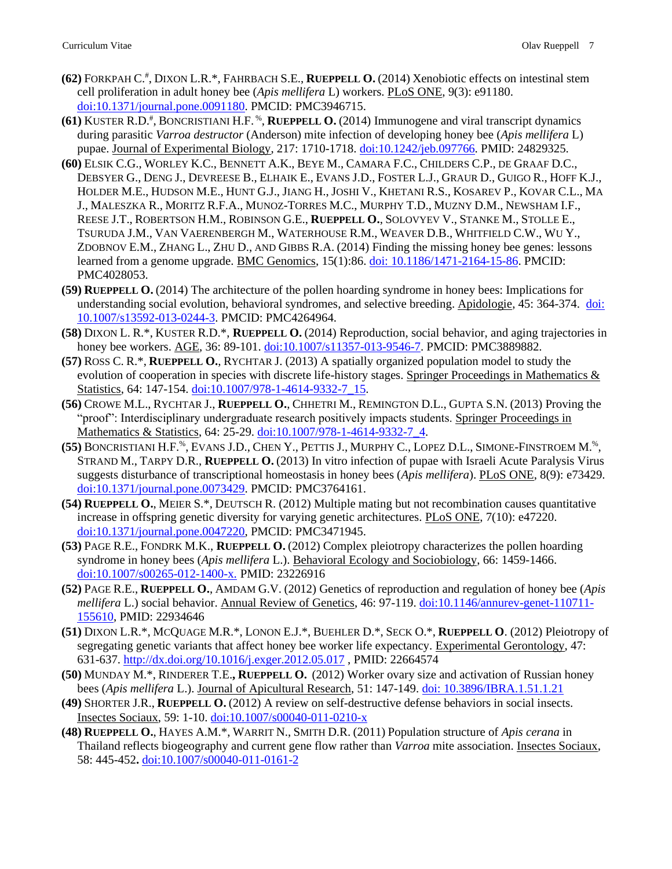- **(62)** FORKPAH C.# , DIXON L.R.\*, FAHRBACH S.E., **RUEPPELL O.** (2014) Xenobiotic effects on intestinal stem cell proliferation in adult honey bee (*Apis mellifera* L) workers. PLoS ONE, 9(3): e91180. [doi:10.1371/journal.pone.0091180.](http://journals.plos.org/plosone/article?id=10.1371/journal.pone.0091180) PMCID: PMC3946715.
- **(61)** KUSTER R.D.# , BONCRISTIANI H.F. %, **RUEPPELL O.** (2014) Immunogene and viral transcript dynamics during parasitic *Varroa destructor* (Anderson) mite infection of developing honey bee (*Apis mellifera* L) pupae. Journal of Experimental Biology, 217: 1710-1718[. doi:10.1242/jeb.097766.](http://jeb.biologists.org/content/217/10/1710.abstract) PMID: 24829325.
- **(60)** ELSIK C.G., WORLEY K.C., BENNETT A.K., BEYE M., CAMARA F.C., CHILDERS C.P., DE GRAAF D.C., DEBSYER G., DENG J., DEVREESE B., ELHAIK E., EVANS J.D., FOSTER L.J., GRAUR D., GUIGO R., HOFF K.J., HOLDER M.E., HUDSON M.E., HUNT G.J., JIANG H., JOSHI V., KHETANI R.S., KOSAREV P., KOVAR C.L., MA J., MALESZKA R., MORITZ R.F.A., MUNOZ-TORRES M.C., MURPHY T.D., MUZNY D.M., NEWSHAM I.F., REESE J.T., ROBERTSON H.M., ROBINSON G.E., **RUEPPELL O.**, SOLOVYEV V., STANKE M., STOLLE E., TSURUDA J.M., VAN VAERENBERGH M., WATERHOUSE R.M., WEAVER D.B., WHITFIELD C.W., WU Y., ZDOBNOV E.M., ZHANG L., ZHU D., AND GIBBS R.A. (2014) Finding the missing honey bee genes: lessons learned from a genome upgrade. BMC Genomics, 15(1):86. [doi: 10.1186/1471-2164-15-86.](http://www.biomedcentral.com/1471-2164/15/86) PMCID: PMC4028053.
- **(59) RUEPPELL O.** (2014) The architecture of the pollen hoarding syndrome in honey bees: Implications for understanding social evolution, behavioral syndromes, and selective breeding. Apidologie, 45: 364-374. [doi:](http://link.springer.com/article/10.1007/s13592-013-0244-3)  [10.1007/s13592-013-0244-3.](http://link.springer.com/article/10.1007/s13592-013-0244-3) PMCID: PMC4264964.
- **(58)** DIXON L. R.\*, KUSTER R.D.\*, **RUEPPELL O.** (2014) Reproduction, social behavior, and aging trajectories in honey bee workers. AGE, 36: 89-101[. doi:10.1007/s11357-013-9546-7.](http://link.springer.com/article/10.1007/s11357-013-9546-7) PMCID: PMC3889882.
- **(57)** ROSS C. R.\*, **RUEPPELL O.**, RYCHTAR J. (2013) A spatially organized population model to study the evolution of cooperation in species with discrete life-history stages. Springer Proceedings in Mathematics & Statistics, 64: 147-154. [doi:10.1007/978-1-4614-9332-7\\_15.](http://link.springer.com/chapter/10.1007/978-1-4614-9332-7_15)
- **(56)** CROWE M.L., RYCHTAR J., **RUEPPELL O.**, CHHETRI M., REMINGTON D.L., GUPTA S.N. (2013) Proving the "proof": Interdisciplinary undergraduate research positively impacts students. Springer Proceedings in Mathematics & Statistics, 64: 25-29. [doi:10.1007/978-1-4614-9332-7\\_4.](http://link.springer.com/chapter/10.1007/978-1-4614-9332-7_4)
- **(55)** BONCRISTIANI H.F.%, EVANS J.D., CHEN Y., PETTIS J., MURPHY C., LOPEZ D.L., SIMONE-FINSTROEM M.%, STRAND M., TARPY D.R., **RUEPPELL O.** (2013) In vitro infection of pupae with Israeli Acute Paralysis Virus suggests disturbance of transcriptional homeostasis in honey bees (*Apis mellifera*). PLoS ONE, 8(9): e73429. [doi:10.1371/journal.pone.0073429.](http://www.plosone.org/article/info%3Adoi%2F10.1371%2Fjournal.pone.0073429) PMCID: PMC3764161.
- **(54) RUEPPELL O.**, MEIER S.\*, DEUTSCH R. (2012) Multiple mating but not recombination causes quantitative increase in offspring genetic diversity for varying genetic architectures. PLoS ONE, 7(10): e47220. [doi:10.1371/journal.pone.0047220,](http://www.plosone.org/article/info%3Adoi%2F10.1371%2Fjournal.pone.0047220) PMCID: PMC3471945.
- **(53)** PAGE R.E., FONDRK M.K., **RUEPPELL O.** (2012) Complex pleiotropy characterizes the pollen hoarding syndrome in honey bees (*Apis mellifera* L.). Behavioral Ecology and Sociobiology, 66: 1459-1466. [doi:10.1007/s00265-012-1400-x.](http://www.springerlink.com/content/q347r3301v458l55/) PMID: 23226916
- **(52)** PAGE R.E., **RUEPPELL O.**, AMDAM G.V. (2012) Genetics of reproduction and regulation of honey bee (*Apis mellifera* L.) social behavior. Annual Review of Genetics, 46: 97-119. [doi:10.1146/annurev-genet-110711-](http://www.annualreviews.org/doi/abs/10.1146/annurev-genet-110711-155610) [155610,](http://www.annualreviews.org/doi/abs/10.1146/annurev-genet-110711-155610) PMID: 22934646
- **(51)** DIXON L.R.\*, MCQUAGE M.R.\*, LONON E.J.\*, BUEHLER D.\*, SECK O.\*, **RUEPPELL O**. (2012) Pleiotropy of segregating genetic variants that affect honey bee worker life expectancy. Experimental Gerontology, 47: 631-637.<http://dx.doi.org/10.1016/j.exger.2012.05.017> , PMID: 22664574
- **(50)** MUNDAY M.\*, RINDERER T.E.**, RUEPPELL O.** (2012) Worker ovary size and activation of Russian honey bees (*Apis mellifera* L.). Journal of Apicultural Research, 51: 147-149. [doi: 10.3896/IBRA.1.51.1.21](http://www.ibra.org.uk/articles/JAR-51-1-2012)
- **(49)** SHORTER J.R., **RUEPPELL O.** (2012) A review on self-destructive defense behaviors in social insects. Insectes Sociaux, 59: 1-10. [doi:10.1007/s00040-011-0210-x](http://www.springerlink.com/content/m443k42j324n7630/)
- **(48) RUEPPELL O.**, HAYES A.M.\*, WARRIT N., SMITH D.R. (2011) Population structure of *Apis cerana* in Thailand reflects biogeography and current gene flow rather than *Varroa* mite association. Insectes Sociaux, 58: 445-452**.** [doi:10.1007/s00040-011-0161-2](http://www.springerlink.com/content/1u226lu082862678/)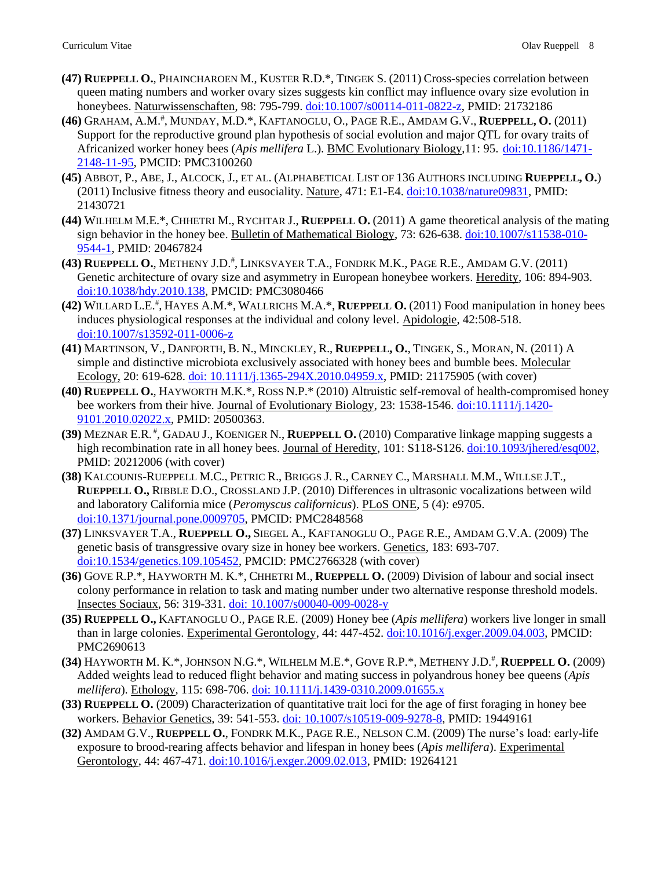- **(47) RUEPPELL O.**, PHAINCHAROEN M., KUSTER R.D.\*, TINGEK S. (2011) Cross-species correlation between queen mating numbers and worker ovary sizes suggests kin conflict may influence ovary size evolution in honeybees. Naturwissenschaften, 98: 795-799. [doi:10.1007/s00114-011-0822-z,](http://www.springerlink.com/content/m2v6256kq2l6022n/) PMID: 21732186
- **(46)** GRAHAM, A.M.# , MUNDAY, M.D.\*, KAFTANOGLU, O., PAGE R.E., AMDAM G.V., **RUEPPELL, O.** (2011) Support for the reproductive ground plan hypothesis of social evolution and major QTL for ovary traits of Africanized worker honey bees (*Apis mellifera* L.). BMC Evolutionary Biology,11: 95. [doi:10.1186/1471-](http://www.biomedcentral.com/1471-2148/11/95) [2148-11-95,](http://www.biomedcentral.com/1471-2148/11/95) PMCID: PMC3100260
- **(45)** ABBOT, P., ABE, J., ALCOCK, J., ET AL. (ALPHABETICAL LIST OF 136 AUTHORS INCLUDING **RUEPPELL, O.**) (2011) Inclusive fitness theory and eusociality. Nature, 471: E1-E4[. doi:10.1038/nature09831,](http://www.nature.com/nature/journal/v471/n7339/full/nature09831.html) PMID: 21430721
- **(44)** WILHELM M.E.\*, CHHETRI M., RYCHTAR J., **RUEPPELL O.** (2011) A game theoretical analysis of the mating sign behavior in the honey bee. Bulletin of Mathematical Biology, 73: 626-638. [doi:10.1007/s11538-010-](http://www.springerlink.com/content/144330h345433260/) [9544-1,](http://www.springerlink.com/content/144330h345433260/) PMID: 20467824
- **(43) RUEPPELL O.**, METHENY J.D.# , LINKSVAYER T.A., FONDRK M.K., PAGE R.E., AMDAM G.V. (2011) Genetic architecture of ovary size and asymmetry in European honeybee workers. Heredity, 106: 894-903. [doi:10.1038/hdy.2010.138,](http://www.nature.com/doifinder/10.1038/hdy.2010.138) PMCID: PMC3080466
- **(42)** WILLARD L.E.# , HAYES A.M.\*, WALLRICHS M.A.\*, **RUEPPELL O.** (2011) Food manipulation in honey bees induces physiological responses at the individual and colony level. Apidologie, 42:508-518. [doi:10.1007/s13592-011-0006-z](http://www.springerlink.com/content/u380h28r716124qj/)
- **(41)** MARTINSON, V., DANFORTH, B. N., MINCKLEY, R., **RUEPPELL, O.**, TINGEK, S., MORAN, N. (2011) A simple and distinctive microbiota exclusively associated with honey bees and bumble bees. Molecular Ecology, 20: 619-628. [doi: 10.1111/j.1365-294X.2010.04959.x,](http://onlinelibrary.wiley.com/doi/10.1111/j.1365-294X.2010.04959.x/abstract) PMID: 21175905 (with cover)
- **(40) RUEPPELL O.**, HAYWORTH M.K.\*, ROSS N.P.\* (2010) Altruistic self-removal of health-compromised honey bee workers from their hive. Journal of Evolutionary Biology, 23: 1538-1546. [doi:10.1111/j.1420-](http://www3.interscience.wiley.com/journal/123468161/abstract) [9101.2010.02022.x,](http://www3.interscience.wiley.com/journal/123468161/abstract) PMID: 20500363.
- **(39)** MEZNAR E.R. # , GADAU J., KOENIGER N., **RUEPPELL O.** (2010) Comparative linkage mapping suggests a high recombination rate in all honey bees. Journal of Heredity, 101: S118-S126[. doi:10.1093/jhered/esq002,](http://jhered.oxfordjournals.org/cgi/reprint/101/suppl_1/S118) PMID: 20212006 (with cover)
- **(38)** KALCOUNIS-RUEPPELL M.C., PETRIC R., BRIGGS J. R., CARNEY C., MARSHALL M.M., WILLSE J.T., **RUEPPELL O.,** RIBBLE D.O., CROSSLAND J.P. (2010) Differences in ultrasonic vocalizations between wild and laboratory California mice (*Peromyscus californicus*). PLoS ONE, 5 (4): e9705. [doi:10.1371/journal.pone.0009705,](http://www.plosone.org/article/info%3Adoi%2F10.1371%2Fjournal.pone.0009705) PMCID: PMC2848568
- **(37)** LINKSVAYER T.A., **RUEPPELL O.,** SIEGEL A., KAFTANOGLU O., PAGE R.E., AMDAM G.V.A. (2009) The genetic basis of transgressive ovary size in honey bee workers. Genetics, 183: 693-707. [doi:10.1534/genetics.109.105452,](http://www.genetics.org/cgi/content/abstract/genetics.109.105452v2) PMCID: PMC2766328 (with cover)
- **(36)** GOVE R.P.\*, HAYWORTH M. K.\*, CHHETRI M., **RUEPPELL O.** (2009) Division of labour and social insect colony performance in relation to task and mating number under two alternative response threshold models. Insectes Sociaux, 56: 319-331. [doi: 10.1007/s00040-009-0028-y](http://www.springerlink.com/content/80n570464646r06m/)
- **(35) RUEPPELL O.,** KAFTANOGLU O., PAGE R.E. (2009) Honey bee (*Apis mellifera*) workers live longer in small than in large colonies. Experimental Gerontology, 44: 447-452. [doi:10.1016/j.exger.2009.04.003,](http://dx.doi.org/10.1016/j.exger.2009.04.003) PMCID: PMC2690613
- **(34)** HAYWORTH M. K.\*, JOHNSON N.G.\*, WILHELM M.E.\*, GOVE R.P.\*, METHENY J.D.# , **RUEPPELL O.** (2009) Added weights lead to reduced flight behavior and mating success in polyandrous honey bee queens (*Apis mellifera*). Ethology, 115: 698-706. [doi: 10.1111/j.1439-0310.2009.01655.x](http://www3.interscience.wiley.com/journal/122425454/abstract)
- **(33) RUEPPELL O.** (2009) Characterization of quantitative trait loci for the age of first foraging in honey bee workers. Behavior Genetics, 39: 541-553. [doi: 10.1007/s10519-009-9278-8,](http://www.springerlink.com/content/c700x5602wk32004/) PMID: 19449161
- **(32)** AMDAM G.V., **RUEPPELL O.**, FONDRK M.K., PAGE R.E., NELSON C.M. (2009) The nurse's load: early-life exposure to brood-rearing affects behavior and lifespan in honey bees (*Apis mellifera*). Experimental Gerontology, 44: 467-471. [doi:10.1016/j.exger.2009.02.013,](http://dx.doi.org/10.1016/j.exger.2009.02.013) PMID: 19264121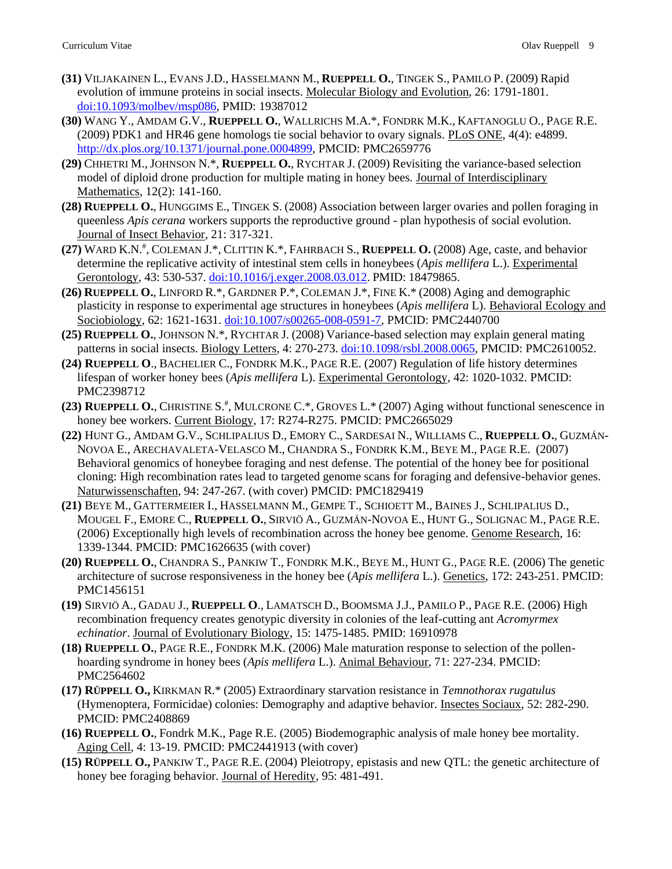- **(31)** VILJAKAINEN L., EVANS J.D., HASSELMANN M., **RUEPPELL O.**, TINGEK S., PAMILO P. (2009) Rapid evolution of immune proteins in social insects. Molecular Biology and Evolution, 26: 1791-1801. [doi:10.1093/molbev/msp086,](http://mbe.oxfordjournals.org/cgi/content/abstract/26/8/1791) PMID: 19387012
- **(30)** WANG Y., AMDAM G.V., **RUEPPELL O.**, WALLRICHS M.A.\*, FONDRK M.K., KAFTANOGLU O., PAGE R.E. (2009) PDK1 and HR46 gene homologs tie social behavior to ovary signals. PLoS ONE, 4(4): e4899. [http://dx.plos.org/10.1371/journal.pone.0004899,](http://dx.plos.org/10.1371/journal.pone.0004899) PMCID: PMC2659776
- **(29)** CHHETRI M., JOHNSON N.\*, **RUEPPELL O.**, RYCHTAR J. (2009) Revisiting the variance-based selection model of diploid drone production for multiple mating in honey bees. Journal of Interdisciplinary Mathematics, 12(2): 141-160.
- **(28) RUEPPELL O.**, HUNGGIMS E., TINGEK S. (2008) Association between larger ovaries and pollen foraging in queenless *Apis cerana* workers supports the reproductive ground - plan hypothesis of social evolution. Journal of Insect Behavior, 21: 317-321.
- **(27)** WARD K.N.# , COLEMAN J.\*, CLITTIN K.\*, FAHRBACH S., **RUEPPELL O.** (2008) Age, caste, and behavior determine the replicative activity of intestinal stem cells in honeybees (*Apis mellifera* L.). Experimental Gerontology, 43: 530-537. [doi:10.1016/j.exger.2008.03.012.](http://dx.doi.org/10.1016/j.exger.2008.03.012) PMID: 18479865.
- **(26) RUEPPELL O.**, LINFORD R.\*, GARDNER P.\*, COLEMAN J.\*, FINE K.\* (2008) Aging and demographic plasticity in response to experimental age structures in honeybees (*Apis mellifera* L). Behavioral Ecology and Sociobiology, 62: 1621-1631. [doi:10.1007/s00265-008-0591-7,](http://dx.doi.org/10.1007/s00265-008-0591-7) PMCID: PMC2440700
- **(25) RUEPPELL O.**, JOHNSON N.\*, RYCHTAR J. (2008) Variance-based selection may explain general mating patterns in social insects. Biology Letters, 4: 270-273. [doi:10.1098/rsbl.2008.0065,](http://dx.doi.org/10.1098/rsbl.2008.0065) PMCID: PMC2610052.
- **(24) RUEPPELL O**., BACHELIER C., FONDRK M.K., PAGE R.E. (2007) Regulation of life history determines lifespan of worker honey bees (*Apis mellifera* L). Experimental Gerontology, 42: 1020-1032. PMCID: PMC2398712
- (23) **RUEPPELL O., CHRISTINE S.<sup>#</sup>, MULCRONE C.\*, GROVES L.\* (2007) Aging without functional senescence in** honey bee workers. Current Biology, 17: R274-R275. PMCID: PMC2665029
- **(22)** HUNT G., AMDAM G.V., SCHLIPALIUS D., EMORY C., SARDESAI N., WILLIAMS C., **RUEPPELL O.**, GUZMÁN-NOVOA E., ARECHAVALETA-VELASCO M., CHANDRA S., FONDRK K.M., BEYE M., PAGE R.E. (2007) Behavioral genomics of honeybee foraging and nest defense. The potential of the honey bee for positional cloning: High recombination rates lead to targeted genome scans for foraging and defensive-behavior genes. Naturwissenschaften, 94: 247-267. (with cover) PMCID: PMC1829419
- **(21)** BEYE M., GATTERMEIER I., HASSELMANN M., GEMPE T., SCHIOETT M., BAINES J., SCHLIPALIUS D., MOUGEL F., EMORE C., **RUEPPELL O.**, SIRVIÖ A., GUZMÁN-NOVOA E., HUNT G., SOLIGNAC M., PAGE R.E. (2006) Exceptionally high levels of recombination across the honey bee genome. Genome Research, 16: 1339-1344. PMCID: PMC1626635 (with cover)
- **(20) RUEPPELL O.**, CHANDRA S., PANKIW T., FONDRK M.K., BEYE M., HUNT G., PAGE R.E. (2006) The genetic architecture of sucrose responsiveness in the honey bee (*Apis mellifera* L.). Genetics, 172: 243-251. PMCID: PMC1456151
- **(19)** SIRVIÖ A., GADAU J., **RUEPPELL O**., LAMATSCH D., BOOMSMA J.J., PAMILO P., PAGE R.E. (2006) High recombination frequency creates genotypic diversity in colonies of the leaf-cutting ant *Acromyrmex echinatior*. Journal of Evolutionary Biology, 15: 1475-1485. PMID: 16910978
- **(18) RUEPPELL O.**, PAGE R.E., FONDRK M.K. (2006) Male maturation response to selection of the pollenhoarding syndrome in honey bees (*Apis mellifera* L.). Animal Behaviour, 71: 227-234. PMCID: PMC2564602
- **(17) RÜPPELL O.,** KIRKMAN R.\* (2005) Extraordinary starvation resistance in *Temnothorax rugatulus* (Hymenoptera, Formicidae) colonies: Demography and adaptive behavior. Insectes Sociaux, 52: 282-290. PMCID: PMC2408869
- **(16) RUEPPELL O.**, Fondrk M.K., Page R.E. (2005) Biodemographic analysis of male honey bee mortality. Aging Cell, 4: 13-19. PMCID: PMC2441913 (with cover)
- **(15) RÜPPELL O.,** PANKIW T., PAGE R.E. (2004) Pleiotropy, epistasis and new QTL: the genetic architecture of honey bee foraging behavior. Journal of Heredity, 95: 481-491.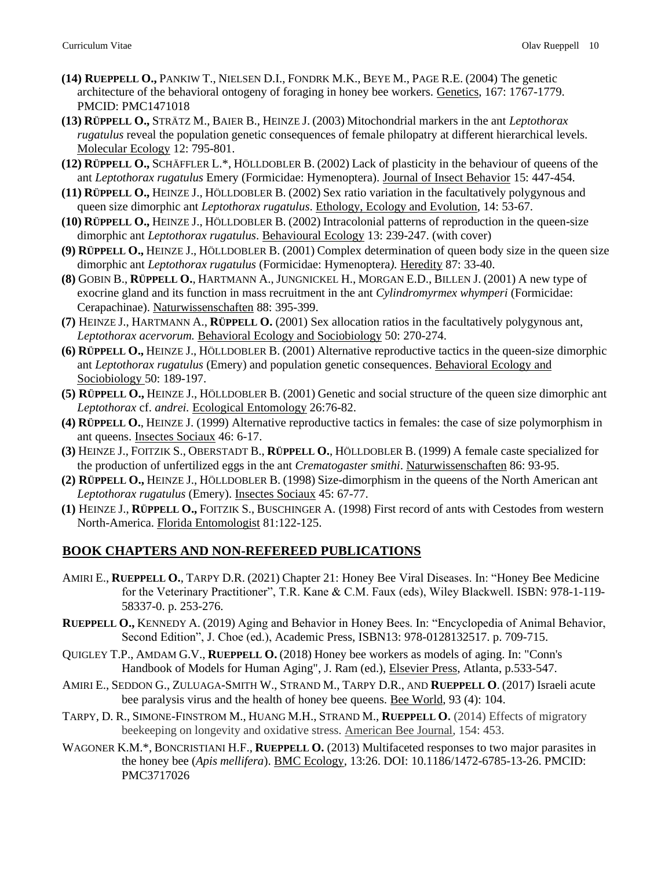- **(14) RUEPPELL O.,** PANKIW T., NIELSEN D.I., FONDRK M.K., BEYE M., PAGE R.E. (2004) The genetic architecture of the behavioral ontogeny of foraging in honey bee workers. Genetics, 167: 1767-1779. PMCID: PMC1471018
- **(13) RÜPPELL O.,** STRÄTZ M., BAIER B., HEINZE J. (2003) Mitochondrial markers in the ant *Leptothorax rugatulus* reveal the population genetic consequences of female philopatry at different hierarchical levels. Molecular Ecology 12: 795-801.
- **(12) RÜPPELL O.,** SCHÄFFLER L.\*, HÖLLDOBLER B. (2002) Lack of plasticity in the behaviour of queens of the ant *Leptothorax rugatulus* Emery (Formicidae: Hymenoptera). Journal of Insect Behavior 15: 447-454.
- **(11) RÜPPELL O.,** HEINZE J., HÖLLDOBLER B. (2002) Sex ratio variation in the facultatively polygynous and queen size dimorphic ant *Leptothorax rugatulus*. Ethology, Ecology and Evolution, 14: 53-67.
- **(10) RÜPPELL O.,** HEINZE J., HÖLLDOBLER B. (2002) Intracolonial patterns of reproduction in the queen-size dimorphic ant *Leptothorax rugatulus*. Behavioural Ecology 13: 239-247. (with cover)
- **(9) RÜPPELL O.,** HEINZE J., HÖLLDOBLER B. (2001) Complex determination of queen body size in the queen size dimorphic ant *Leptothorax rugatulus* (Formicidae: Hymenoptera*).* Heredity 87: 33-40.
- **(8)** GOBIN B., **RÜPPELL O.**, HARTMANN A., JUNGNICKEL H., MORGAN E.D., BILLEN J. (2001) A new type of exocrine gland and its function in mass recruitment in the ant *Cylindromyrmex whymperi* (Formicidae: Cerapachinae). Naturwissenschaften 88: 395-399.
- **(7)** HEINZE J., HARTMANN A., **RÜPPELL O.** (2001) Sex allocation ratios in the facultatively polygynous ant, *Leptothorax acervorum.* Behavioral Ecology and Sociobiology 50: 270-274.
- **(6) RÜPPELL O.,** HEINZE J., HÖLLDOBLER B. (2001) Alternative reproductive tactics in the queen-size dimorphic ant *Leptothorax rugatulus* (Emery) and population genetic consequences. Behavioral Ecology and Sociobiology 50: 189-197.
- **(5) RÜPPELL O.,** HEINZE J., HÖLLDOBLER B. (2001) Genetic and social structure of the queen size dimorphic ant *Leptothorax* cf. *andrei.* Ecological Entomology 26:76-82.
- **(4) RÜPPELL O.**, HEINZE J. (1999) Alternative reproductive tactics in females: the case of size polymorphism in ant queens. Insectes Sociaux 46: 6-17.
- **(3)** HEINZE J., FOITZIK S., OBERSTADT B., **RÜPPELL O.**, HÖLLDOBLER B. (1999) A female caste specialized for the production of unfertilized eggs in the ant *Crematogaster smithi*. Naturwissenschaften 86: 93-95.
- **(2) RÜPPELL O.,** HEINZE J., HÖLLDOBLER B. (1998) Size-dimorphism in the queens of the North American ant *Leptothorax rugatulus* (Emery). Insectes Sociaux 45: 67-77.
- **(1)** HEINZE J., **RÜPPELL O.,** FOITZIK S., BUSCHINGER A. (1998) First record of ants with Cestodes from western North-America. Florida Entomologist 81:122-125.

## **BOOK CHAPTERS AND NON-REFEREED PUBLICATIONS**

- AMIRI E., **RUEPPELL O.**, TARPY D.R. (2021) Chapter 21: Honey Bee Viral Diseases. In: "Honey Bee Medicine for the Veterinary Practitioner", T.R. Kane & C.M. Faux (eds), Wiley Blackwell. ISBN: 978-1-119- 58337-0. p. 253-276.
- **RUEPPELL O.,** KENNEDY A. (2019) Aging and Behavior in Honey Bees. In: "Encyclopedia of Animal Behavior, Second Edition", J. Choe (ed.), Academic Press, ISBN13: 978-0128132517. p. 709-715.
- QUIGLEY T.P., AMDAM G.V., **RUEPPELL O.** (2018) Honey bee workers as models of aging. In: "Conn's Handbook of Models for Human Aging", J. Ram (ed.), Elsevier Press, Atlanta, p.533-547.
- AMIRI E., SEDDON G., ZULUAGA-SMITH W., STRAND M., TARPY D.R., AND **RUEPPELL O**. (2017) Israeli acute bee paralysis virus and the health of honey bee queens. Bee World, 93 (4): 104.
- TARPY, D. R., SIMONE-FINSTROM M., HUANG M.H., STRAND M., **RUEPPELL O.** (2014) Effects of migratory beekeeping on longevity and oxidative stress. American Bee Journal, 154: 453.
- WAGONER K.M.\*, BONCRISTIANI H.F., **RUEPPELL O.** (2013) Multifaceted responses to two major parasites in the honey bee (*Apis mellifera*). BMC Ecology, 13:26. DOI: 10.1186/1472-6785-13-26. PMCID: PMC3717026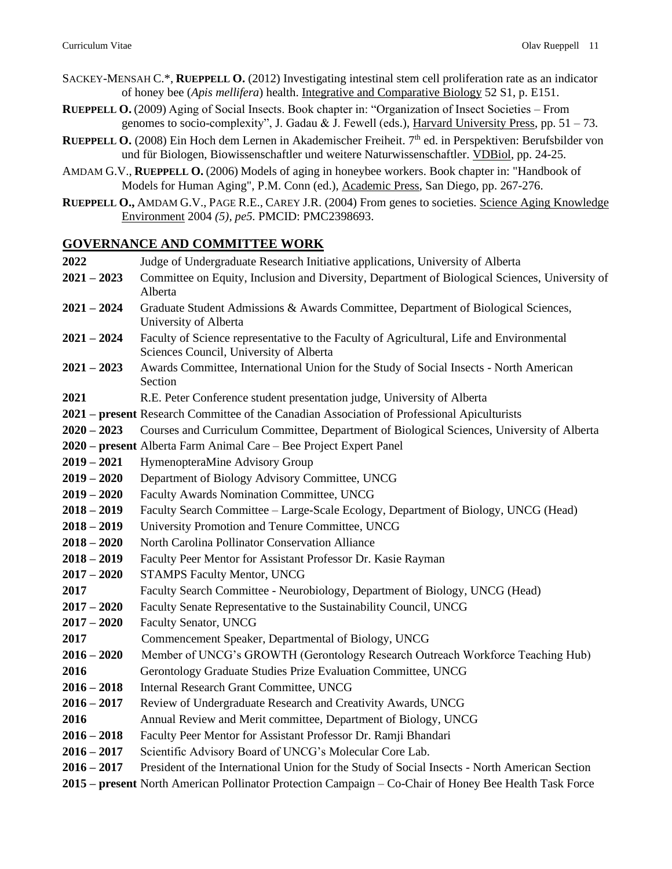- SACKEY-MENSAH C.\*, **RUEPPELL O.** (2012) Investigating intestinal stem cell proliferation rate as an indicator of honey bee (*Apis mellifera*) health. Integrative and Comparative Biology 52 S1, p. E151.
- **RUEPPELL O.** (2009) Aging of Social Insects. Book chapter in: "Organization of Insect Societies From genomes to socio-complexity", J. Gadau & J. Fewell (eds.), Harvard University Press, pp. 51 – 73.
- **RUEPPELL O.** (2008) Ein Hoch dem Lernen in Akademischer Freiheit. 7th ed. in Perspektiven: Berufsbilder von und für Biologen, Biowissenschaftler und weitere Naturwissenschaftler. VDBiol, pp. 24-25.
- AMDAM G.V., **RUEPPELL O.** (2006) Models of aging in honeybee workers. Book chapter in: "Handbook of Models for Human Aging", P.M. Conn (ed.), Academic Press, San Diego, pp. 267-276.
- **RUEPPELL O.,** AMDAM G.V., PAGE R.E., CAREY J.R. (2004) From genes to societies. Science Aging Knowledge Environment 2004 *(5), pe5.* PMCID: PMC2398693.

### **GOVERNANCE AND COMMITTEE WORK**

| 2022          | Judge of Undergraduate Research Initiative applications, University of Alberta                                                      |  |
|---------------|-------------------------------------------------------------------------------------------------------------------------------------|--|
| $2021 - 2023$ | Committee on Equity, Inclusion and Diversity, Department of Biological Sciences, University of<br>Alberta                           |  |
| $2021 - 2024$ | Graduate Student Admissions & Awards Committee, Department of Biological Sciences,<br>University of Alberta                         |  |
| $2021 - 2024$ | Faculty of Science representative to the Faculty of Agricultural, Life and Environmental<br>Sciences Council, University of Alberta |  |
| $2021 - 2023$ | Awards Committee, International Union for the Study of Social Insects - North American<br>Section                                   |  |
| 2021          | R.E. Peter Conference student presentation judge, University of Alberta                                                             |  |
|               | 2021 – present Research Committee of the Canadian Association of Professional Apiculturists                                         |  |
| $2020 - 2023$ | Courses and Curriculum Committee, Department of Biological Sciences, University of Alberta                                          |  |
|               | 2020 - present Alberta Farm Animal Care - Bee Project Expert Panel                                                                  |  |
| $2019 - 2021$ | HymenopteraMine Advisory Group                                                                                                      |  |
| $2019 - 2020$ | Department of Biology Advisory Committee, UNCG                                                                                      |  |
| $2019 - 2020$ | Faculty Awards Nomination Committee, UNCG                                                                                           |  |
| $2018 - 2019$ | Faculty Search Committee - Large-Scale Ecology, Department of Biology, UNCG (Head)                                                  |  |
| $2018 - 2019$ | University Promotion and Tenure Committee, UNCG                                                                                     |  |
| $2018 - 2020$ | North Carolina Pollinator Conservation Alliance                                                                                     |  |
| $2018 - 2019$ | Faculty Peer Mentor for Assistant Professor Dr. Kasie Rayman                                                                        |  |
| $2017 - 2020$ | <b>STAMPS Faculty Mentor, UNCG</b>                                                                                                  |  |
| 2017          | Faculty Search Committee - Neurobiology, Department of Biology, UNCG (Head)                                                         |  |
| $2017 - 2020$ | Faculty Senate Representative to the Sustainability Council, UNCG                                                                   |  |
| $2017 - 2020$ | Faculty Senator, UNCG                                                                                                               |  |
| 2017          | Commencement Speaker, Departmental of Biology, UNCG                                                                                 |  |
| $2016 - 2020$ | Member of UNCG's GROWTH (Gerontology Research Outreach Workforce Teaching Hub)                                                      |  |
| 2016          | Gerontology Graduate Studies Prize Evaluation Committee, UNCG                                                                       |  |
| $2016 - 2018$ | Internal Research Grant Committee, UNCG                                                                                             |  |
| $2016 - 2017$ | Review of Undergraduate Research and Creativity Awards, UNCG                                                                        |  |
| 2016          | Annual Review and Merit committee, Department of Biology, UNCG                                                                      |  |
| $2016 - 2018$ | Faculty Peer Mentor for Assistant Professor Dr. Ramji Bhandari                                                                      |  |
| $2016 - 2017$ | Scientific Advisory Board of UNCG's Molecular Core Lab.                                                                             |  |
| $2016 - 2017$ | President of the International Union for the Study of Social Insects - North American Section                                       |  |
|               | 2015 - present North American Pollinator Protection Campaign - Co-Chair of Honey Bee Health Task Force                              |  |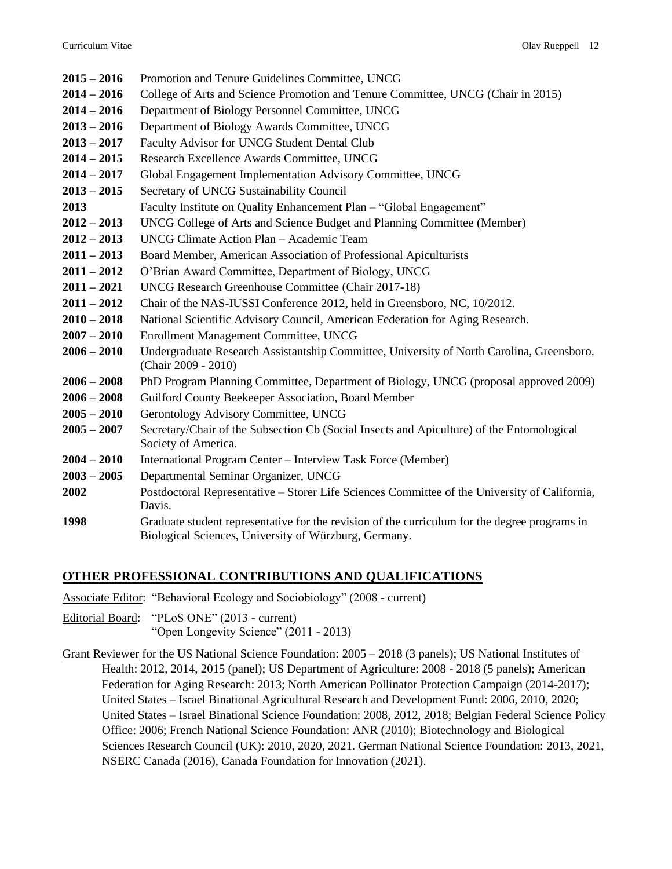| $2015 - 2016$ | Promotion and Tenure Guidelines Committee, UNCG                                                                                                        |  |
|---------------|--------------------------------------------------------------------------------------------------------------------------------------------------------|--|
| $2014 - 2016$ | College of Arts and Science Promotion and Tenure Committee, UNCG (Chair in 2015)                                                                       |  |
| $2014 - 2016$ | Department of Biology Personnel Committee, UNCG                                                                                                        |  |
| $2013 - 2016$ | Department of Biology Awards Committee, UNCG                                                                                                           |  |
| $2013 - 2017$ | Faculty Advisor for UNCG Student Dental Club                                                                                                           |  |
| $2014 - 2015$ | Research Excellence Awards Committee, UNCG                                                                                                             |  |
| $2014 - 2017$ | Global Engagement Implementation Advisory Committee, UNCG                                                                                              |  |
| $2013 - 2015$ | Secretary of UNCG Sustainability Council                                                                                                               |  |
| 2013          | Faculty Institute on Quality Enhancement Plan - "Global Engagement"                                                                                    |  |
| $2012 - 2013$ | UNCG College of Arts and Science Budget and Planning Committee (Member)                                                                                |  |
| $2012 - 2013$ | UNCG Climate Action Plan - Academic Team                                                                                                               |  |
| $2011 - 2013$ | Board Member, American Association of Professional Apiculturists                                                                                       |  |
| $2011 - 2012$ | O'Brian Award Committee, Department of Biology, UNCG                                                                                                   |  |
| $2011 - 2021$ | UNCG Research Greenhouse Committee (Chair 2017-18)                                                                                                     |  |
| $2011 - 2012$ | Chair of the NAS-IUSSI Conference 2012, held in Greensboro, NC, 10/2012.                                                                               |  |
| $2010 - 2018$ | National Scientific Advisory Council, American Federation for Aging Research.                                                                          |  |
| $2007 - 2010$ | Enrollment Management Committee, UNCG                                                                                                                  |  |
| $2006 - 2010$ | Undergraduate Research Assistantship Committee, University of North Carolina, Greensboro.<br>(Chair 2009 - 2010)                                       |  |
| $2006 - 2008$ | PhD Program Planning Committee, Department of Biology, UNCG (proposal approved 2009)                                                                   |  |
| $2006 - 2008$ | Guilford County Beekeeper Association, Board Member                                                                                                    |  |
| $2005 - 2010$ | Gerontology Advisory Committee, UNCG                                                                                                                   |  |
| $2005 - 2007$ | Secretary/Chair of the Subsection Cb (Social Insects and Apiculture) of the Entomological<br>Society of America.                                       |  |
| $2004 - 2010$ | International Program Center - Interview Task Force (Member)                                                                                           |  |
| $2003 - 2005$ | Departmental Seminar Organizer, UNCG                                                                                                                   |  |
| 2002          | Postdoctoral Representative - Storer Life Sciences Committee of the University of California,<br>Davis.                                                |  |
| 1998          | Graduate student representative for the revision of the curriculum for the degree programs in<br>Biological Sciences, University of Würzburg, Germany. |  |

## **OTHER PROFESSIONAL CONTRIBUTIONS AND QUALIFICATIONS**

Associate Editor: "Behavioral Ecology and Sociobiology" (2008 - current)

Editorial Board: "PLoS ONE" (2013 - current) "Open Longevity Science" (2011 - 2013)

Grant Reviewer for the US National Science Foundation: 2005 – 2018 (3 panels); US National Institutes of Health: 2012, 2014, 2015 (panel); US Department of Agriculture: 2008 - 2018 (5 panels); American Federation for Aging Research: 2013; North American Pollinator Protection Campaign (2014-2017); United States – Israel Binational Agricultural Research and Development Fund: 2006, 2010, 2020; United States – Israel Binational Science Foundation: 2008, 2012, 2018; Belgian Federal Science Policy Office: 2006; French National Science Foundation: ANR (2010); Biotechnology and Biological Sciences Research Council (UK): 2010, 2020, 2021. German National Science Foundation: 2013, 2021, NSERC Canada (2016), Canada Foundation for Innovation (2021).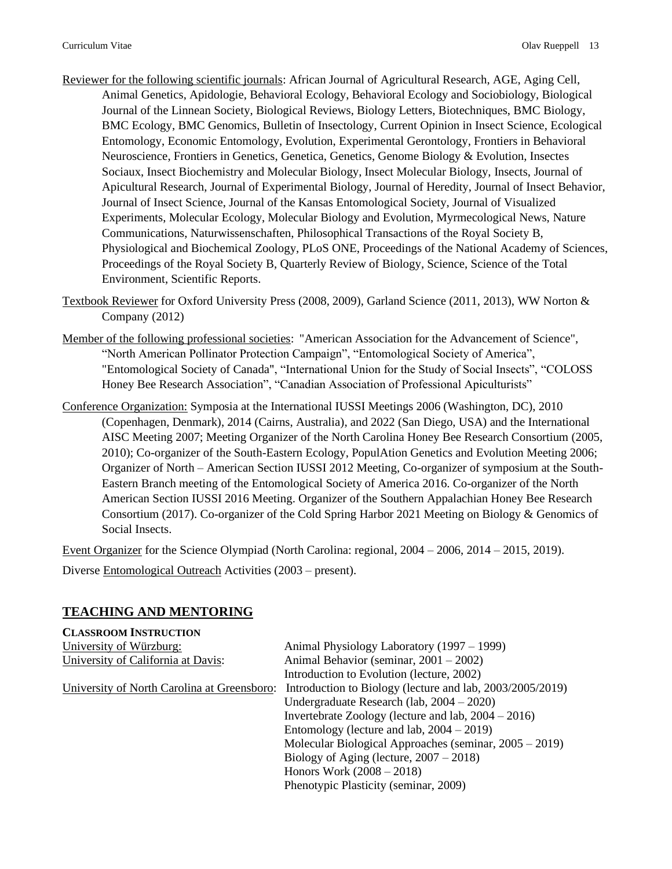- Reviewer for the following scientific journals: African Journal of Agricultural Research, AGE, Aging Cell, Animal Genetics, Apidologie, Behavioral Ecology, Behavioral Ecology and Sociobiology, Biological Journal of the Linnean Society, Biological Reviews, Biology Letters, Biotechniques, BMC Biology, BMC Ecology, BMC Genomics, Bulletin of Insectology, Current Opinion in Insect Science, Ecological Entomology, Economic Entomology, Evolution, Experimental Gerontology, Frontiers in Behavioral Neuroscience, Frontiers in Genetics, Genetica, Genetics, Genome Biology & Evolution, Insectes Sociaux, Insect Biochemistry and Molecular Biology, Insect Molecular Biology, Insects, Journal of Apicultural Research, Journal of Experimental Biology, Journal of Heredity, Journal of Insect Behavior, Journal of Insect Science, Journal of the Kansas Entomological Society, Journal of Visualized Experiments, Molecular Ecology, Molecular Biology and Evolution, Myrmecological News, Nature Communications, Naturwissenschaften, Philosophical Transactions of the Royal Society B, Physiological and Biochemical Zoology, PLoS ONE, Proceedings of the National Academy of Sciences, Proceedings of the Royal Society B, Quarterly Review of Biology, Science, Science of the Total Environment, Scientific Reports.
- Textbook Reviewer for Oxford University Press (2008, 2009), Garland Science (2011, 2013), WW Norton & Company (2012)
- Member of the following professional societies: "American Association for the Advancement of Science", "North American Pollinator Protection Campaign", "Entomological Society of America", "Entomological Society of Canada", "International Union for the Study of Social Insects", "COLOSS Honey Bee Research Association", "Canadian Association of Professional Apiculturists"
- Conference Organization: Symposia at the International IUSSI Meetings 2006 (Washington, DC), 2010 (Copenhagen, Denmark), 2014 (Cairns, Australia), and 2022 (San Diego, USA) and the International AISC Meeting 2007; Meeting Organizer of the North Carolina Honey Bee Research Consortium (2005, 2010); Co-organizer of the South-Eastern Ecology, PopulAtion Genetics and Evolution Meeting 2006; Organizer of North – American Section IUSSI 2012 Meeting, Co-organizer of symposium at the South-Eastern Branch meeting of the Entomological Society of America 2016. Co-organizer of the North American Section IUSSI 2016 Meeting. Organizer of the Southern Appalachian Honey Bee Research Consortium (2017). Co-organizer of the Cold Spring Harbor 2021 Meeting on Biology & Genomics of Social Insects.

Event Organizer for the Science Olympiad (North Carolina: regional, 2004 – 2006, 2014 – 2015, 2019).

Diverse Entomological Outreach Activities (2003 – present).

### **TEACHING AND MENTORING**

| <b>CLASSROOM INSTRUCTION</b>                |                                                           |
|---------------------------------------------|-----------------------------------------------------------|
| University of Würzburg:                     | Animal Physiology Laboratory (1997 – 1999)                |
| University of California at Davis:          | Animal Behavior (seminar, $2001 - 2002$ )                 |
|                                             | Introduction to Evolution (lecture, 2002)                 |
| University of North Carolina at Greensboro: | Introduction to Biology (lecture and lab, 2003/2005/2019) |
|                                             | Undergraduate Research (lab, $2004 - 2020$ )              |
|                                             | Invertebrate Zoology (lecture and lab, $2004 - 2016$ )    |
|                                             | Entomology (lecture and lab, $2004 - 2019$ )              |
|                                             | Molecular Biological Approaches (seminar, $2005 - 2019$ ) |
|                                             | Biology of Aging (lecture, $2007 - 2018$ )                |
|                                             | Honors Work $(2008 - 2018)$                               |
|                                             | Phenotypic Plasticity (seminar, 2009)                     |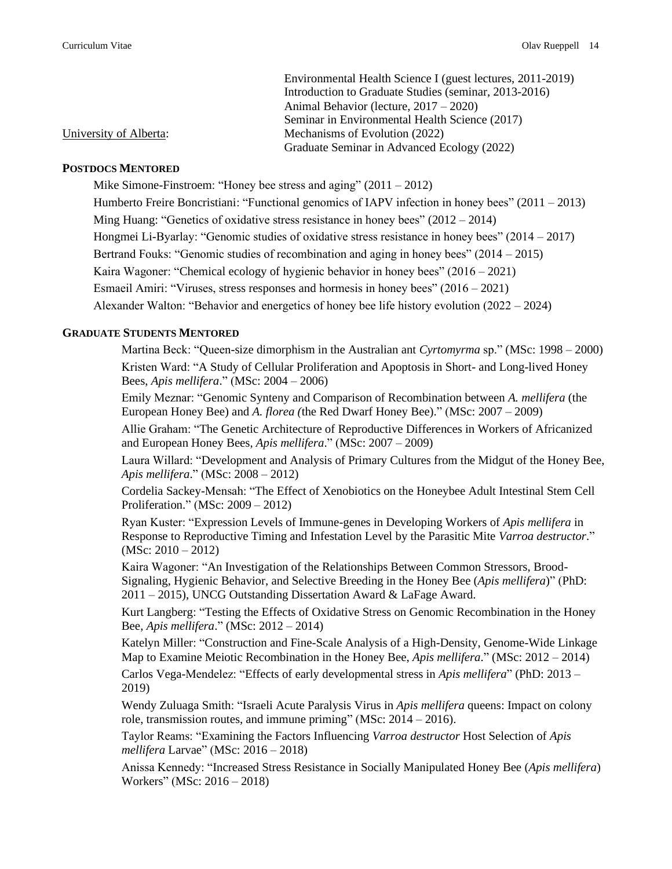| Environmental Health Science I (guest lectures, 2011-2019) |
|------------------------------------------------------------|
| Introduction to Graduate Studies (seminar, 2013-2016)      |
| Animal Behavior (lecture, $2017 - 2020$ )                  |
| Seminar in Environmental Health Science (2017)             |
| Mechanisms of Evolution (2022)                             |
| Graduate Seminar in Advanced Ecology (2022)                |

# **POSTDOCS MENTORED**

University of Alberta:

Mike Simone-Finstroem: "Honey bee stress and aging" (2011 – 2012)

Humberto Freire Boncristiani: "Functional genomics of IAPV infection in honey bees" (2011 – 2013)

Ming Huang: "Genetics of oxidative stress resistance in honey bees" (2012 – 2014)

Hongmei Li-Byarlay: "Genomic studies of oxidative stress resistance in honey bees" (2014 – 2017)

Bertrand Fouks: "Genomic studies of recombination and aging in honey bees" (2014 – 2015)

Kaira Wagoner: "Chemical ecology of hygienic behavior in honey bees" (2016 – 2021)

Esmaeil Amiri: "Viruses, stress responses and hormesis in honey bees" (2016 – 2021)

Alexander Walton: "Behavior and energetics of honey bee life history evolution (2022 – 2024)

#### **GRADUATE STUDENTS MENTORED**

Martina Beck: "Queen-size dimorphism in the Australian ant *Cyrtomyrma* sp." (MSc: 1998 – 2000) Kristen Ward: "A Study of Cellular Proliferation and Apoptosis in Short- and Long-lived Honey Bees, *Apis mellifera*." (MSc: 2004 – 2006)

Emily Meznar: "Genomic Synteny and Comparison of Recombination between *A. mellifera* (the European Honey Bee) and *A. florea (*the Red Dwarf Honey Bee)." (MSc: 2007 – 2009)

Allie Graham: "The Genetic Architecture of Reproductive Differences in Workers of Africanized and European Honey Bees, *Apis mellifera*." (MSc: 2007 – 2009)

Laura Willard: "Development and Analysis of Primary Cultures from the Midgut of the Honey Bee, *Apis mellifera*." (MSc: 2008 – 2012)

Cordelia Sackey-Mensah: "The Effect of Xenobiotics on the Honeybee Adult Intestinal Stem Cell Proliferation." (MSc: 2009 – 2012)

Ryan Kuster: "Expression Levels of Immune-genes in Developing Workers of *Apis mellifera* in Response to Reproductive Timing and Infestation Level by the Parasitic Mite *Varroa destructor*."  $(MSc: 2010 - 2012)$ 

Kaira Wagoner: "An Investigation of the Relationships Between Common Stressors, Brood-Signaling, Hygienic Behavior, and Selective Breeding in the Honey Bee (*Apis mellifera*)" (PhD: 2011 – 2015), UNCG Outstanding Dissertation Award & LaFage Award.

Kurt Langberg: "Testing the Effects of Oxidative Stress on Genomic Recombination in the Honey Bee, *Apis mellifera*." (MSc: 2012 – 2014)

Katelyn Miller: "Construction and Fine-Scale Analysis of a High-Density, Genome-Wide Linkage Map to Examine Meiotic Recombination in the Honey Bee, *Apis mellifera*." (MSc: 2012 – 2014)

Carlos Vega-Mendelez: "Effects of early developmental stress in *Apis mellifera*" (PhD: 2013 – 2019)

Wendy Zuluaga Smith: "Israeli Acute Paralysis Virus in *Apis mellifera* queens: Impact on colony role, transmission routes, and immune priming" (MSc: 2014 – 2016).

Taylor Reams: "Examining the Factors Influencing *Varroa destructor* Host Selection of *Apis mellifera* Larvae" (MSc: 2016 – 2018)

Anissa Kennedy: "Increased Stress Resistance in Socially Manipulated Honey Bee (*Apis mellifera*) Workers" (MSc: 2016 – 2018)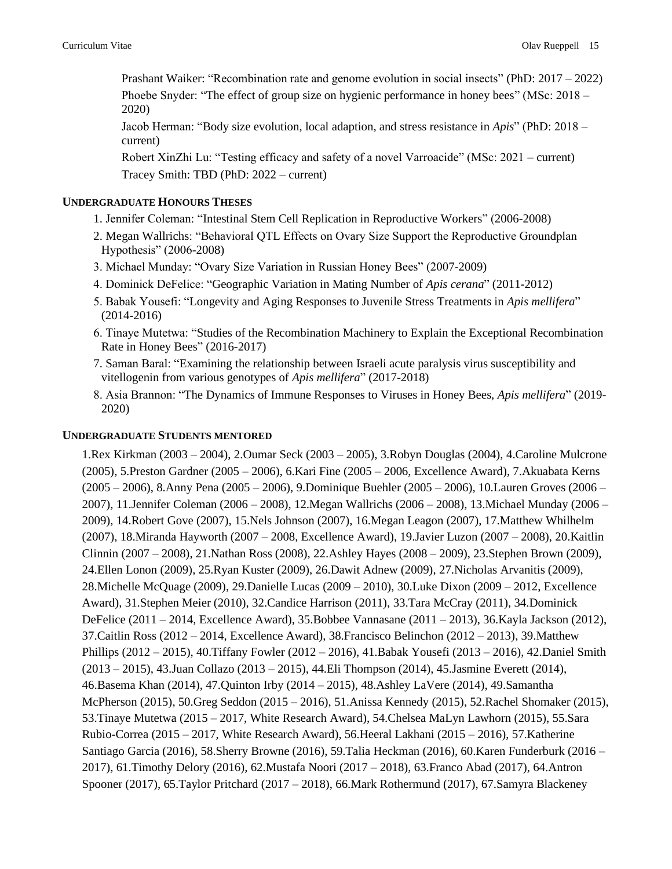Prashant Waiker: "Recombination rate and genome evolution in social insects" (PhD: 2017 – 2022) Phoebe Snyder: "The effect of group size on hygienic performance in honey bees" (MSc: 2018 – 2020)

Jacob Herman: "Body size evolution, local adaption, and stress resistance in *Apis*" (PhD: 2018 – current)

Robert XinZhi Lu: "Testing efficacy and safety of a novel Varroacide" (MSc: 2021 – current) Tracey Smith: TBD (PhD: 2022 – current)

### **UNDERGRADUATE HONOURS THESES**

- 1. Jennifer Coleman: "Intestinal Stem Cell Replication in Reproductive Workers" (2006-2008)
- 2. Megan Wallrichs: "Behavioral QTL Effects on Ovary Size Support the Reproductive Groundplan Hypothesis" (2006-2008)
- 3. Michael Munday: "Ovary Size Variation in Russian Honey Bees" (2007-2009)
- 4. Dominick DeFelice: "Geographic Variation in Mating Number of *Apis cerana*" (2011-2012)
- 5. Babak Yousefi: "Longevity and Aging Responses to Juvenile Stress Treatments in *Apis mellifera*" (2014-2016)
- 6. Tinaye Mutetwa: "Studies of the Recombination Machinery to Explain the Exceptional Recombination Rate in Honey Bees" (2016-2017)
- 7. Saman Baral: "Examining the relationship between Israeli acute paralysis virus susceptibility and vitellogenin from various genotypes of *Apis mellifera*" (2017-2018)
- 8. Asia Brannon: "The Dynamics of Immune Responses to Viruses in Honey Bees, *Apis mellifera*" (2019- 2020)

#### **UNDERGRADUATE STUDENTS MENTORED**

1.Rex Kirkman (2003 – 2004), 2.Oumar Seck (2003 – 2005), 3.Robyn Douglas (2004), 4.Caroline Mulcrone (2005), 5.Preston Gardner (2005 – 2006), 6.Kari Fine (2005 – 2006, Excellence Award), 7.Akuabata Kerns (2005 – 2006), 8.Anny Pena (2005 – 2006), 9.Dominique Buehler (2005 – 2006), 10.Lauren Groves (2006 – 2007), 11.Jennifer Coleman (2006 – 2008), 12.Megan Wallrichs (2006 – 2008), 13.Michael Munday (2006 – 2009), 14.Robert Gove (2007), 15.Nels Johnson (2007), 16.Megan Leagon (2007), 17.Matthew Whilhelm (2007), 18.Miranda Hayworth (2007 – 2008, Excellence Award), 19.Javier Luzon (2007 – 2008), 20.Kaitlin Clinnin (2007 – 2008), 21.Nathan Ross (2008), 22.Ashley Hayes (2008 – 2009), 23.Stephen Brown (2009), 24.Ellen Lonon (2009), 25.Ryan Kuster (2009), 26.Dawit Adnew (2009), 27.Nicholas Arvanitis (2009), 28.Michelle McQuage (2009), 29.Danielle Lucas (2009 – 2010), 30.Luke Dixon (2009 – 2012, Excellence Award), 31.Stephen Meier (2010), 32.Candice Harrison (2011), 33.Tara McCray (2011), 34.Dominick DeFelice (2011 – 2014, Excellence Award), 35.Bobbee Vannasane (2011 – 2013), 36.Kayla Jackson (2012), 37.Caitlin Ross (2012 – 2014, Excellence Award), 38.Francisco Belinchon (2012 – 2013), 39.Matthew Phillips (2012 – 2015), 40.Tiffany Fowler (2012 – 2016), 41.Babak Yousefi (2013 – 2016), 42.Daniel Smith (2013 – 2015), 43.Juan Collazo (2013 – 2015), 44.Eli Thompson (2014), 45.Jasmine Everett (2014), 46.Basema Khan (2014), 47.Quinton Irby (2014 – 2015), 48.Ashley LaVere (2014), 49.Samantha McPherson (2015), 50.Greg Seddon (2015 – 2016), 51.Anissa Kennedy (2015), 52.Rachel Shomaker (2015), 53.Tinaye Mutetwa (2015 – 2017, White Research Award), 54.Chelsea MaLyn Lawhorn (2015), 55.Sara Rubio-Correa (2015 – 2017, White Research Award), 56.Heeral Lakhani (2015 – 2016), 57.Katherine Santiago Garcia (2016), 58.Sherry Browne (2016), 59.Talia Heckman (2016), 60.Karen Funderburk (2016 – 2017), 61.Timothy Delory (2016), 62.Mustafa Noori (2017 – 2018), 63.Franco Abad (2017), 64.Antron Spooner (2017), 65.Taylor Pritchard (2017 – 2018), 66.Mark Rothermund (2017), 67.Samyra Blackeney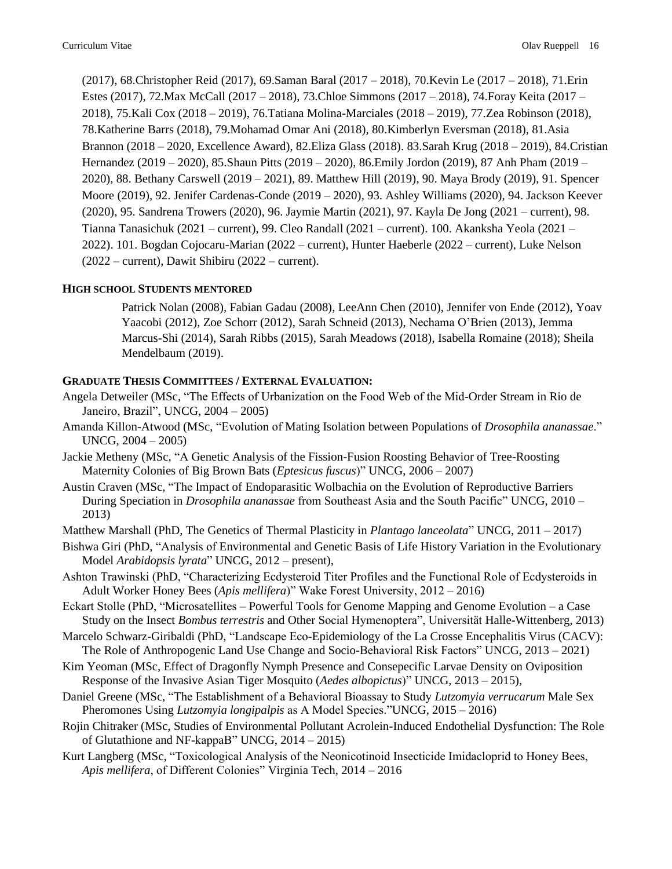(2017), 68.Christopher Reid (2017), 69.Saman Baral (2017 – 2018), 70.Kevin Le (2017 – 2018), 71.Erin Estes (2017), 72.Max McCall (2017 – 2018), 73.Chloe Simmons (2017 – 2018), 74.Foray Keita (2017 – 2018), 75.Kali Cox (2018 – 2019), 76.Tatiana Molina-Marciales (2018 – 2019), 77.Zea Robinson (2018), 78.Katherine Barrs (2018), 79.Mohamad Omar Ani (2018), 80.Kimberlyn Eversman (2018), 81.Asia Brannon (2018 – 2020, Excellence Award), 82.Eliza Glass (2018). 83.Sarah Krug (2018 – 2019), 84.Cristian Hernandez (2019 – 2020), 85.Shaun Pitts (2019 – 2020), 86.Emily Jordon (2019), 87 Anh Pham (2019 – 2020), 88. Bethany Carswell (2019 – 2021), 89. Matthew Hill (2019), 90. Maya Brody (2019), 91. Spencer Moore (2019), 92. Jenifer Cardenas-Conde (2019 – 2020), 93. Ashley Williams (2020), 94. Jackson Keever (2020), 95. Sandrena Trowers (2020), 96. Jaymie Martin (2021), 97. Kayla De Jong (2021 – current), 98. Tianna Tanasichuk (2021 – current), 99. Cleo Randall (2021 – current). 100. Akanksha Yeola (2021 – 2022). 101. Bogdan Cojocaru-Marian (2022 – current), Hunter Haeberle (2022 – current), Luke Nelson (2022 – current), Dawit Shibiru (2022 – current).

### **HIGH SCHOOL STUDENTS MENTORED**

Patrick Nolan (2008), Fabian Gadau (2008), LeeAnn Chen (2010), Jennifer von Ende (2012), Yoav Yaacobi (2012), Zoe Schorr (2012), Sarah Schneid (2013), Nechama O'Brien (2013), Jemma Marcus-Shi (2014), Sarah Ribbs (2015), Sarah Meadows (2018), Isabella Romaine (2018); Sheila Mendelbaum (2019).

### **GRADUATE THESIS COMMITTEES / EXTERNAL EVALUATION:**

- Angela Detweiler (MSc, "The Effects of Urbanization on the Food Web of the Mid-Order Stream in Rio de Janeiro, Brazil", UNCG, 2004 – 2005)
- Amanda Killon-Atwood (MSc, "Evolution of Mating Isolation between Populations of *Drosophila ananassae*." UNCG, 2004 – 2005)
- Jackie Metheny (MSc, "A Genetic Analysis of the Fission-Fusion Roosting Behavior of Tree-Roosting Maternity Colonies of Big Brown Bats (*Eptesicus fuscus*)" UNCG, 2006 – 2007)
- Austin Craven (MSc, "The Impact of Endoparasitic Wolbachia on the Evolution of Reproductive Barriers During Speciation in *Drosophila ananassae* from Southeast Asia and the South Pacific" UNCG, 2010 – 2013)
- Matthew Marshall (PhD, The Genetics of Thermal Plasticity in *Plantago lanceolata*" UNCG, 2011 2017)
- Bishwa Giri (PhD, "Analysis of Environmental and Genetic Basis of Life History Variation in the Evolutionary Model *Arabidopsis lyrata*" UNCG, 2012 – present),
- Ashton Trawinski (PhD, "Characterizing Ecdysteroid Titer Profiles and the Functional Role of Ecdysteroids in Adult Worker Honey Bees (*Apis mellifera*)" Wake Forest University, 2012 – 2016)
- Eckart Stolle (PhD, "Microsatellites Powerful Tools for Genome Mapping and Genome Evolution a Case Study on the Insect *Bombus terrestris* and Other Social Hymenoptera", Universität Halle-Wittenberg, 2013)
- Marcelo Schwarz-Giribaldi (PhD, "Landscape Eco-Epidemiology of the La Crosse Encephalitis Virus (CACV): The Role of Anthropogenic Land Use Change and Socio-Behavioral Risk Factors" UNCG, 2013 – 2021)
- Kim Yeoman (MSc, Effect of Dragonfly Nymph Presence and Consepecific Larvae Density on Oviposition Response of the Invasive Asian Tiger Mosquito (*Aedes albopictus*)" UNCG, 2013 – 2015),
- Daniel Greene (MSc, "The Establishment of a Behavioral Bioassay to Study *Lutzomyia verrucarum* Male Sex Pheromones Using *Lutzomyia longipalpis* as A Model Species."UNCG, 2015 – 2016)
- Rojin Chitraker (MSc, Studies of Environmental Pollutant Acrolein-Induced Endothelial Dysfunction: The Role of Glutathione and NF-kappaB" UNCG, 2014 – 2015)
- Kurt Langberg (MSc, "Toxicological Analysis of the Neonicotinoid Insecticide Imidacloprid to Honey Bees, *Apis mellifera*, of Different Colonies" Virginia Tech, 2014 – 2016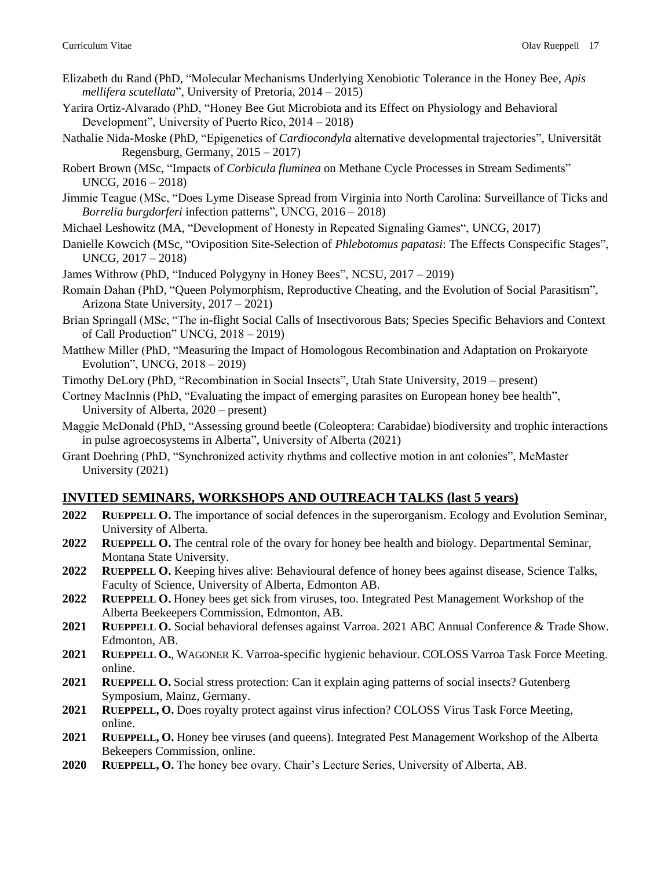- Elizabeth du Rand (PhD, "Molecular Mechanisms Underlying Xenobiotic Tolerance in the Honey Bee, *Apis mellifera scutellata*", University of Pretoria, 2014 – 2015)
- Yarira Ortiz-Alvarado (PhD, "Honey Bee Gut Microbiota and its Effect on Physiology and Behavioral Development", University of Puerto Rico, 2014 – 2018)
- Nathalie Nida-Moske (PhD, "Epigenetics of *Cardiocondyla* alternative developmental trajectories", Universität Regensburg, Germany, 2015 – 2017)
- Robert Brown (MSc, "Impacts of *Corbicula fluminea* on Methane Cycle Processes in Stream Sediments" UNCG, 2016 – 2018)
- Jimmie Teague (MSc, "Does Lyme Disease Spread from Virginia into North Carolina: Surveillance of Ticks and *Borrelia burgdorferi* infection patterns", UNCG, 2016 – 2018)
- Michael Leshowitz (MA, "Development of Honesty in Repeated Signaling Games", UNCG, 2017)
- Danielle Kowcich (MSc, "Oviposition Site-Selection of *Phlebotomus papatasi*: The Effects Conspecific Stages", UNCG, 2017 – 2018)
- James Withrow (PhD, "Induced Polygyny in Honey Bees", NCSU, 2017 2019)
- Romain Dahan (PhD, "Queen Polymorphism, Reproductive Cheating, and the Evolution of Social Parasitism", Arizona State University, 2017 – 2021)
- Brian Springall (MSc, "The in-flight Social Calls of Insectivorous Bats; Species Specific Behaviors and Context of Call Production" UNCG, 2018 – 2019)
- Matthew Miller (PhD, "Measuring the Impact of Homologous Recombination and Adaptation on Prokaryote Evolution", UNCG, 2018 – 2019)
- Timothy DeLory (PhD, "Recombination in Social Insects", Utah State University, 2019 present)
- Cortney MacInnis (PhD, "Evaluating the impact of emerging parasites on European honey bee health", University of Alberta, 2020 – present)
- Maggie McDonald (PhD, "Assessing ground beetle (Coleoptera: Carabidae) biodiversity and trophic interactions in pulse agroecosystems in Alberta", University of Alberta (2021)
- Grant Doehring (PhD, "Synchronized activity rhythms and collective motion in ant colonies", McMaster University (2021)

### **INVITED SEMINARS, WORKSHOPS AND OUTREACH TALKS (last 5 years)**

- **2022 RUEPPELL O.** The importance of social defences in the superorganism. Ecology and Evolution Seminar, University of Alberta.
- **2022 RUEPPELL O.** The central role of the ovary for honey bee health and biology. Departmental Seminar, Montana State University.
- **2022 RUEPPELL O.** Keeping hives alive: Behavioural defence of honey bees against disease, Science Talks, Faculty of Science, University of Alberta, Edmonton AB.
- **2022 RUEPPELL O.** Honey bees get sick from viruses, too. Integrated Pest Management Workshop of the Alberta Beekeepers Commission, Edmonton, AB.
- **2021 RUEPPELL O.** Social behavioral defenses against Varroa. 2021 ABC Annual Conference & Trade Show. Edmonton, AB.
- **2021 RUEPPELL O.**, WAGONER K. Varroa-specific hygienic behaviour. COLOSS Varroa Task Force Meeting. online.
- **2021 RUEPPELL O.** Social stress protection: Can it explain aging patterns of social insects? Gutenberg Symposium, Mainz, Germany.
- **2021 RUEPPELL, O.** Does royalty protect against virus infection? COLOSS Virus Task Force Meeting, online.
- **2021 RUEPPELL, O.** Honey bee viruses (and queens). Integrated Pest Management Workshop of the Alberta Bekeepers Commission, online.
- **2020 RUEPPELL, O.** The honey bee ovary. Chair's Lecture Series, University of Alberta, AB.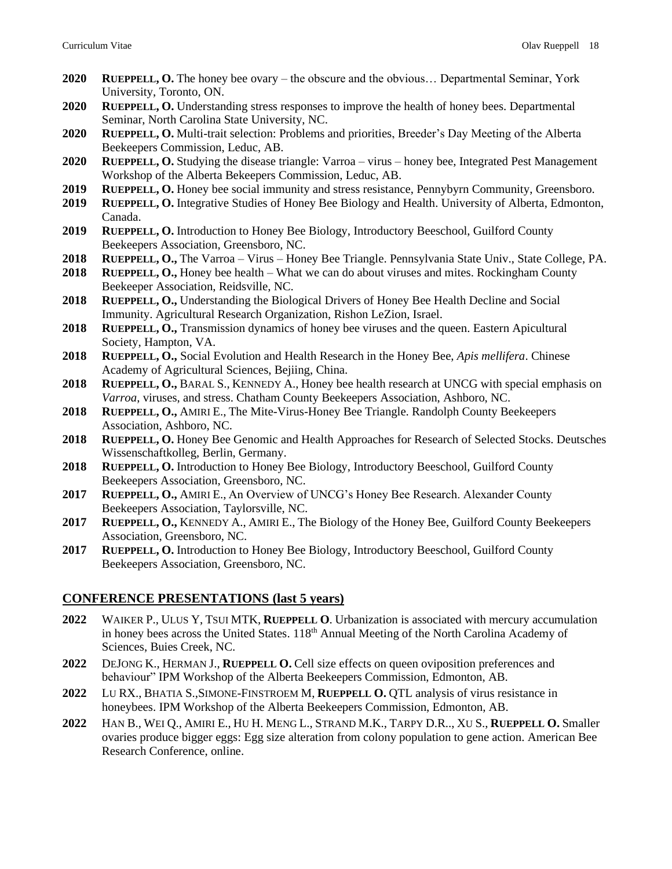- **2020 RUEPPELL, O.** The honey bee ovary the obscure and the obvious… Departmental Seminar, York University, Toronto, ON.
- **2020 RUEPPELL, O.** Understanding stress responses to improve the health of honey bees. Departmental Seminar, North Carolina State University, NC.
- **2020 RUEPPELL, O.** Multi-trait selection: Problems and priorities, Breeder's Day Meeting of the Alberta Beekeepers Commission, Leduc, AB.
- **2020 RUEPPELL, O.** Studying the disease triangle: Varroa virus honey bee, Integrated Pest Management Workshop of the Alberta Bekeepers Commission, Leduc, AB.
- **2019 RUEPPELL, O.** Honey bee social immunity and stress resistance, Pennybyrn Community, Greensboro.
- **2019 RUEPPELL, O.** Integrative Studies of Honey Bee Biology and Health. University of Alberta, Edmonton, Canada.
- **2019 RUEPPELL, O.** Introduction to Honey Bee Biology, Introductory Beeschool, Guilford County Beekeepers Association, Greensboro, NC.
- **2018 RUEPPELL, O.,** The Varroa Virus Honey Bee Triangle. Pennsylvania State Univ., State College, PA.
- **2018 RUEPPELL, O.,** Honey bee health What we can do about viruses and mites. Rockingham County Beekeeper Association, Reidsville, NC.
- **2018 RUEPPELL, O.,** Understanding the Biological Drivers of Honey Bee Health Decline and Social Immunity. Agricultural Research Organization, Rishon LeZion, Israel.
- **2018 RUEPPELL, O.,** Transmission dynamics of honey bee viruses and the queen. Eastern Apicultural Society, Hampton, VA.
- **2018 RUEPPELL, O.,** Social Evolution and Health Research in the Honey Bee, *Apis mellifera*. Chinese Academy of Agricultural Sciences, Bejiing, China.
- **2018 RUEPPELL, O.,** BARAL S., KENNEDY A., Honey bee health research at UNCG with special emphasis on *Varroa*, viruses, and stress. Chatham County Beekeepers Association, Ashboro, NC.
- **2018 RUEPPELL, O.,** AMIRI E., The Mite-Virus-Honey Bee Triangle. Randolph County Beekeepers Association, Ashboro, NC.
- **2018 RUEPPELL, O.** Honey Bee Genomic and Health Approaches for Research of Selected Stocks. Deutsches Wissenschaftkolleg, Berlin, Germany.
- **2018 RUEPPELL, O.** Introduction to Honey Bee Biology, Introductory Beeschool, Guilford County Beekeepers Association, Greensboro, NC.
- **2017 RUEPPELL, O.,** AMIRI E., An Overview of UNCG's Honey Bee Research. Alexander County Beekeepers Association, Taylorsville, NC.
- **2017 RUEPPELL, O.,** KENNEDY A., AMIRI E., The Biology of the Honey Bee, Guilford County Beekeepers Association, Greensboro, NC.
- **2017 RUEPPELL, O.** Introduction to Honey Bee Biology, Introductory Beeschool, Guilford County Beekeepers Association, Greensboro, NC.

### **CONFERENCE PRESENTATIONS (last 5 years)**

- **2022** WAIKER P., ULUS Y, TSUI MTK, **RUEPPELL O**. Urbanization is associated with mercury accumulation in honey bees across the United States. 118<sup>th</sup> Annual Meeting of the North Carolina Academy of Sciences, Buies Creek, NC.
- **2022** DEJONG K., HERMAN J., **RUEPPELL O.** Cell size effects on queen oviposition preferences and behaviour" IPM Workshop of the Alberta Beekeepers Commission, Edmonton, AB.
- **2022** LU RX., BHATIA S.,SIMONE-FINSTROEM M, **RUEPPELL O.** QTL analysis of virus resistance in honeybees. IPM Workshop of the Alberta Beekeepers Commission, Edmonton, AB.
- **2022** HAN B., WEI Q., AMIRI E., HU H. MENG L., STRAND M.K., TARPY D.R.., XU S., **RUEPPELL O.** Smaller ovaries produce bigger eggs: Egg size alteration from colony population to gene action. American Bee Research Conference, online.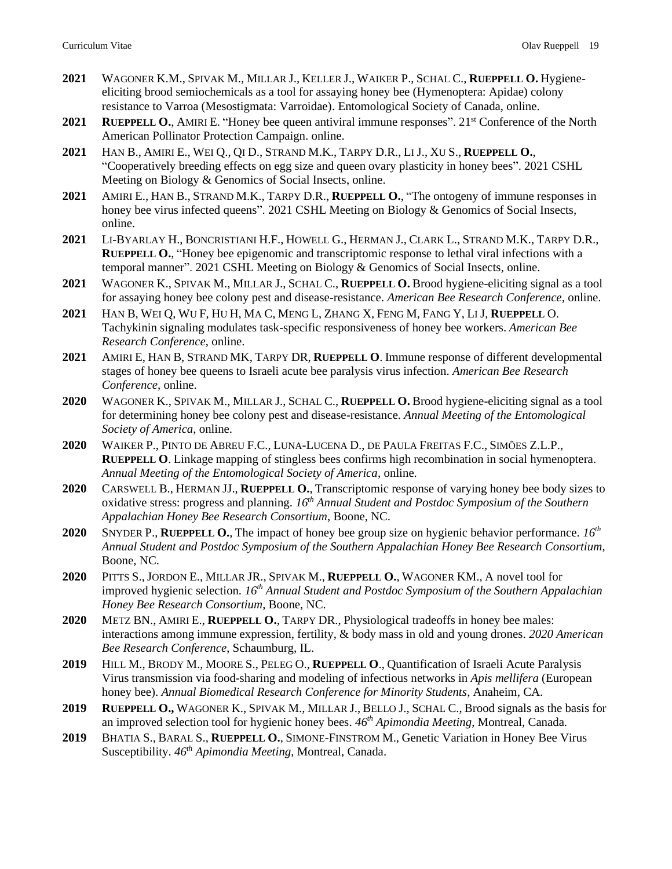- **2021** WAGONER K.M., SPIVAK M., MILLAR J., KELLER J., WAIKER P., SCHAL C., **RUEPPELL O.** Hygieneeliciting brood semiochemicals as a tool for assaying honey bee (Hymenoptera: Apidae) colony resistance to Varroa (Mesostigmata: Varroidae). Entomological Society of Canada, online.
- **2021 RUEPPELL O.**, AMIRI E. "Honey bee queen antiviral immune responses". 21st Conference of the North American Pollinator Protection Campaign. online.
- **2021** HAN B., AMIRI E., WEI Q., QI D., STRAND M.K., TARPY D.R., LI J., XU S., **RUEPPELL O.**, "Cooperatively breeding effects on egg size and queen ovary plasticity in honey bees". 2021 CSHL Meeting on Biology & Genomics of Social Insects, online.
- **2021** AMIRI E., HAN B., STRAND M.K., TARPY D.R., **RUEPPELL O.**, "The ontogeny of immune responses in honey bee virus infected queens". 2021 CSHL Meeting on Biology & Genomics of Social Insects, online.
- **2021** LI-BYARLAY H., BONCRISTIANI H.F., HOWELL G., HERMAN J., CLARK L., STRAND M.K., TARPY D.R., **RUEPPELL O.**, "Honey bee epigenomic and transcriptomic response to lethal viral infections with a temporal manner". 2021 CSHL Meeting on Biology & Genomics of Social Insects, online.
- **2021** WAGONER K., SPIVAK M., MILLAR J., SCHAL C., **RUEPPELL O.** Brood hygiene-eliciting signal as a tool for assaying honey bee colony pest and disease-resistance. *American Bee Research Conference*, online.
- **2021** HAN B, WEI Q, WU F, HU H, MA C, MENG L, ZHANG X, FENG M, FANG Y, LI J, **RUEPPELL** O. Tachykinin signaling modulates task-specific responsiveness of honey bee workers. *American Bee Research Conference*, online.
- **2021** AMIRI E, HAN B, STRAND MK, TARPY DR, **RUEPPELL O**. Immune response of different developmental stages of honey bee queens to Israeli acute bee paralysis virus infection. *American Bee Research Conference*, online.
- **2020** WAGONER K., SPIVAK M., MILLAR J., SCHAL C., **RUEPPELL O.** Brood hygiene-eliciting signal as a tool for determining honey bee colony pest and disease-resistance. *Annual Meeting of the Entomological Society of America*, online.
- **2020** WAIKER P., PINTO DE ABREU F.C., LUNA-LUCENA D., DE PAULA FREITAS F.C., SIMÕES Z.L.P., **RUEPPELL O**. Linkage mapping of stingless bees confirms high recombination in social hymenoptera. *Annual Meeting of the Entomological Society of America*, online.
- **2020** CARSWELL B., HERMAN JJ., **RUEPPELL O.**, Transcriptomic response of varying honey bee body sizes to oxidative stress: progress and planning. *16th Annual Student and Postdoc Symposium of the Southern Appalachian Honey Bee Research Consortium*, Boone, NC.
- **2020** SNYDER P., **RUEPPELL O.**, The impact of honey bee group size on hygienic behavior performance. *16th Annual Student and Postdoc Symposium of the Southern Appalachian Honey Bee Research Consortium*, Boone, NC.
- **2020** PITTS S., JORDON E., MILLAR JR., SPIVAK M., **RUEPPELL O.**, WAGONER KM., A novel tool for improved hygienic selection. *16th Annual Student and Postdoc Symposium of the Southern Appalachian Honey Bee Research Consortium*, Boone, NC.
- **2020** METZ BN., AMIRI E., **RUEPPELL O.**, TARPY DR., Physiological tradeoffs in honey bee males: interactions among immune expression, fertility, & body mass in old and young drones. *2020 American Bee Research Conference*, Schaumburg, IL.
- **2019** HILL M., BRODY M., MOORE S., PELEG O., **RUEPPELL O**., Quantification of Israeli Acute Paralysis Virus transmission via food-sharing and modeling of infectious networks in *Apis mellifera* (European honey bee). *Annual Biomedical Research Conference for Minority Students*, Anaheim, CA.
- **2019 RUEPPELL O.,** WAGONER K., SPIVAK M., MILLAR J., BELLO J., SCHAL C., Brood signals as the basis for an improved selection tool for hygienic honey bees. *46th Apimondia Meeting*, Montreal, Canada.
- **2019** BHATIA S., BARAL S., **RUEPPELL O.**, SIMONE-FINSTROM M., Genetic Variation in Honey Bee Virus Susceptibility. *46th Apimondia Meeting*, Montreal, Canada.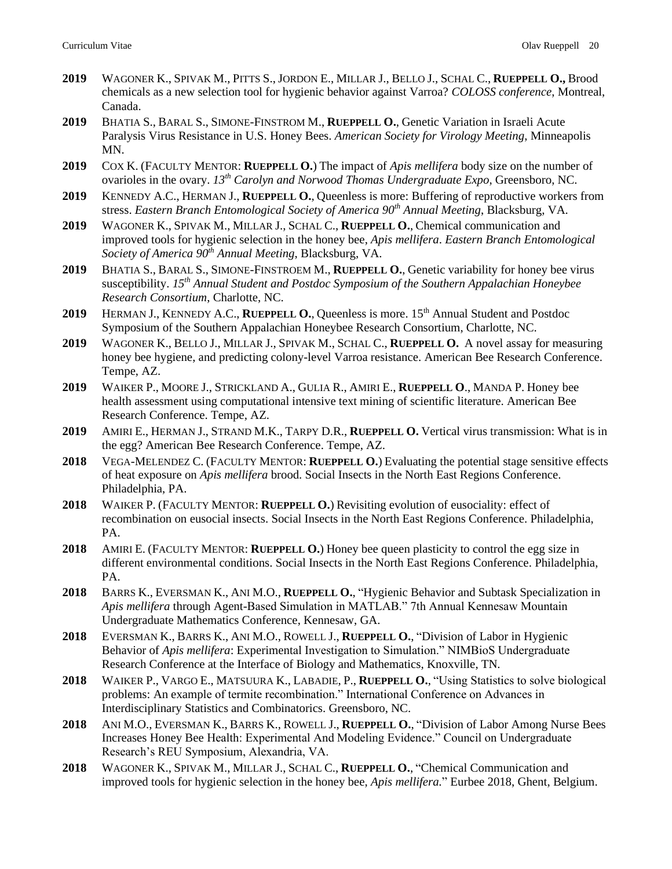- **2019** WAGONER K., SPIVAK M., PITTS S.,JORDON E., MILLAR J., BELLO J., SCHAL C., **RUEPPELL O.,** Brood chemicals as a new selection tool for hygienic behavior against Varroa? *COLOSS conference*, Montreal, Canada.
- **2019** BHATIA S., BARAL S., SIMONE-FINSTROM M., **RUEPPELL O.**, Genetic Variation in Israeli Acute Paralysis Virus Resistance in U.S. Honey Bees. *American Society for Virology Meeting*, Minneapolis MN.
- **2019** COX K. (FACULTY MENTOR: **RUEPPELL O.**) The impact of *Apis mellifera* body size on the number of ovarioles in the ovary. *13th Carolyn and Norwood Thomas Undergraduate Expo*, Greensboro, NC.
- **2019** KENNEDY A.C., HERMAN J., **RUEPPELL O.**, Queenless is more: Buffering of reproductive workers from stress. *Eastern Branch Entomological Society of America 90th Annual Meeting*, Blacksburg, VA.
- **2019** WAGONER K., SPIVAK M., MILLAR J., SCHAL C., **RUEPPELL O.**, Chemical communication and improved tools for hygienic selection in the honey bee, *Apis mellifera*. *Eastern Branch Entomological Society of America 90th Annual Meeting*, Blacksburg, VA.
- **2019** BHATIA S., BARAL S., SIMONE-FINSTROEM M., **RUEPPELL O.**, Genetic variability for honey bee virus susceptibility. *15th Annual Student and Postdoc Symposium of the Southern Appalachian Honeybee Research Consortium*, Charlotte, NC.
- **2019** HERMAN J., KENNEDY A.C., **RUEPPELL O.**, Queenless is more. 15th Annual Student and Postdoc Symposium of the Southern Appalachian Honeybee Research Consortium, Charlotte, NC.
- **2019** WAGONER K., BELLO J., MILLAR J., SPIVAK M., SCHAL C., **RUEPPELL O.** A novel assay for measuring honey bee hygiene, and predicting colony-level Varroa resistance. American Bee Research Conference. Tempe, AZ.
- **2019** WAIKER P., MOORE J., STRICKLAND A., GULIA R., AMIRI E., **RUEPPELL O**., MANDA P. Honey bee health assessment using computational intensive text mining of scientific literature. American Bee Research Conference. Tempe, AZ.
- **2019** AMIRI E., HERMAN J., STRAND M.K., TARPY D.R., **RUEPPELL O.** Vertical virus transmission: What is in the egg? American Bee Research Conference. Tempe, AZ.
- **2018** VEGA-MELENDEZ C. (FACULTY MENTOR: **RUEPPELL O.**) Evaluating the potential stage sensitive effects of heat exposure on *Apis mellifera* brood. Social Insects in the North East Regions Conference. Philadelphia, PA.
- **2018** WAIKER P. (FACULTY MENTOR: **RUEPPELL O.**) Revisiting evolution of eusociality: effect of recombination on eusocial insects. Social Insects in the North East Regions Conference. Philadelphia, PA.
- **2018** AMIRI E. (FACULTY MENTOR: **RUEPPELL O.**) Honey bee queen plasticity to control the egg size in different environmental conditions. Social Insects in the North East Regions Conference. Philadelphia, PA.
- **2018** BARRS K., EVERSMAN K., ANI M.O., **RUEPPELL O.**, "Hygienic Behavior and Subtask Specialization in *Apis mellifera* through Agent-Based Simulation in MATLAB." 7th Annual Kennesaw Mountain Undergraduate Mathematics Conference, Kennesaw, GA.
- **2018** EVERSMAN K., BARRS K., ANI M.O., ROWELL J., **RUEPPELL O.**, "Division of Labor in Hygienic Behavior of *Apis mellifera*: Experimental Investigation to Simulation." NIMBioS Undergraduate Research Conference at the Interface of Biology and Mathematics, Knoxville, TN.
- **2018** WAIKER P., VARGO E., MATSUURA K., LABADIE, P., **RUEPPELL O.**, "Using Statistics to solve biological problems: An example of termite recombination." International Conference on Advances in Interdisciplinary Statistics and Combinatorics. Greensboro, NC.
- **2018** ANI M.O., EVERSMAN K., BARRS K., ROWELL J., **RUEPPELL O.**, "Division of Labor Among Nurse Bees Increases Honey Bee Health: Experimental And Modeling Evidence." Council on Undergraduate Research's REU Symposium, Alexandria, VA.
- **2018** WAGONER K., SPIVAK M., MILLAR J., SCHAL C., **RUEPPELL O.**, "Chemical Communication and improved tools for hygienic selection in the honey bee, *Apis mellifera.*" Eurbee 2018, Ghent, Belgium.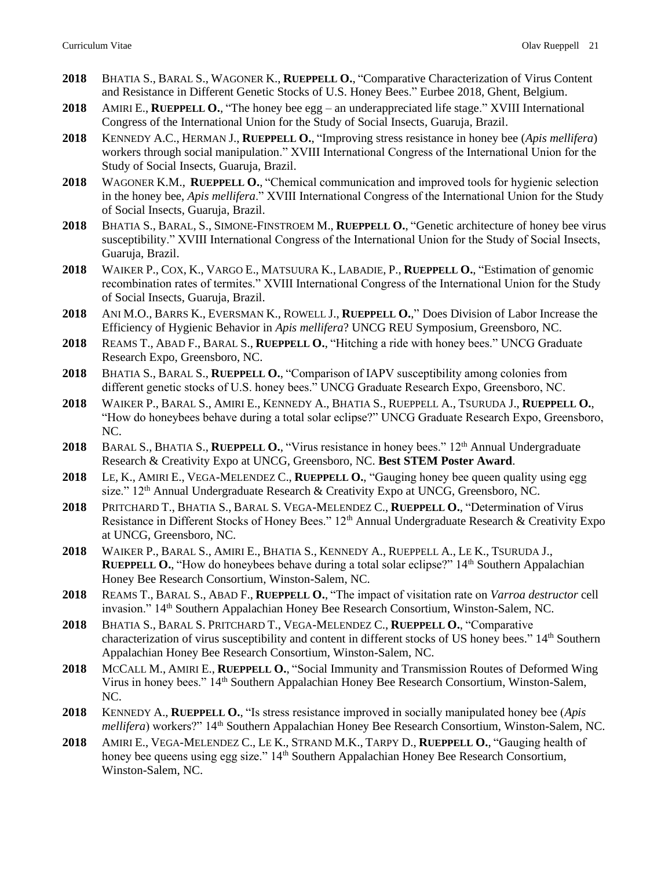- **2018** BHATIA S., BARAL S., WAGONER K., **RUEPPELL O.**, "Comparative Characterization of Virus Content and Resistance in Different Genetic Stocks of U.S. Honey Bees." Eurbee 2018, Ghent, Belgium.
- **2018** AMIRI E., **RUEPPELL O.**, "The honey bee egg an underappreciated life stage." XVIII International Congress of the International Union for the Study of Social Insects, Guaruja, Brazil.
- **2018** KENNEDY A.C., HERMAN J., **RUEPPELL O.**, "Improving stress resistance in honey bee (*Apis mellifera*) workers through social manipulation." XVIII International Congress of the International Union for the Study of Social Insects, Guaruja, Brazil.
- **2018** WAGONER K.M., **RUEPPELL O.**, "Chemical communication and improved tools for hygienic selection in the honey bee, *Apis mellifera*." XVIII International Congress of the International Union for the Study of Social Insects, Guaruja, Brazil.
- **2018** BHATIA S., BARAL, S., SIMONE-FINSTROEM M., **RUEPPELL O.**, "Genetic architecture of honey bee virus susceptibility." XVIII International Congress of the International Union for the Study of Social Insects, Guaruja, Brazil.
- **2018** WAIKER P., COX, K., VARGO E., MATSUURA K., LABADIE, P., **RUEPPELL O.**, "Estimation of genomic recombination rates of termites." XVIII International Congress of the International Union for the Study of Social Insects, Guaruja, Brazil.
- **2018** ANI M.O., BARRS K., EVERSMAN K., ROWELL J., **RUEPPELL O.**," Does Division of Labor Increase the Efficiency of Hygienic Behavior in *Apis mellifera*? UNCG REU Symposium, Greensboro, NC.
- **2018** REAMS T., ABAD F., BARAL S., **RUEPPELL O.**, "Hitching a ride with honey bees." UNCG Graduate Research Expo, Greensboro, NC.
- **2018** BHATIA S., BARAL S., **RUEPPELL O.**, "Comparison of IAPV susceptibility among colonies from different genetic stocks of U.S. honey bees." UNCG Graduate Research Expo, Greensboro, NC.
- **2018** WAIKER P., BARAL S., AMIRI E., KENNEDY A., BHATIA S., RUEPPELL A., TSURUDA J., **RUEPPELL O.**, "How do honeybees behave during a total solar eclipse?" UNCG Graduate Research Expo, Greensboro, NC.
- 2018 BARAL S., BHATIA S., **RUEPPELL O.**, "Virus resistance in honey bees." 12<sup>th</sup> Annual Undergraduate Research & Creativity Expo at UNCG, Greensboro, NC. **Best STEM Poster Award**.
- **2018** LE, K., AMIRI E., VEGA-MELENDEZ C., **RUEPPELL O.**, "Gauging honey bee queen quality using egg size." 12th Annual Undergraduate Research & Creativity Expo at UNCG, Greensboro, NC.
- **2018** PRITCHARD T., BHATIA S., BARAL S. VEGA-MELENDEZ C., **RUEPPELL O.**, "Determination of Virus Resistance in Different Stocks of Honey Bees." 12<sup>th</sup> Annual Undergraduate Research & Creativity Expo at UNCG, Greensboro, NC.
- **2018** WAIKER P., BARAL S., AMIRI E., BHATIA S., KENNEDY A., RUEPPELL A., LE K., TSURUDA J., **RUEPPELL O., "How do honeybees behave during a total solar eclipse?" 14<sup>th</sup> Southern Appalachian** Honey Bee Research Consortium, Winston-Salem, NC.
- **2018** REAMS T., BARAL S., ABAD F., **RUEPPELL O.**, "The impact of visitation rate on *Varroa destructor* cell invasion." 14<sup>th</sup> Southern Appalachian Honey Bee Research Consortium, Winston-Salem, NC.
- **2018** BHATIA S., BARAL S. PRITCHARD T., VEGA-MELENDEZ C., **RUEPPELL O.**, "Comparative characterization of virus susceptibility and content in different stocks of US honey bees." 14<sup>th</sup> Southern Appalachian Honey Bee Research Consortium, Winston-Salem, NC.
- **2018** MCCALL M., AMIRI E., **RUEPPELL O.**, "Social Immunity and Transmission Routes of Deformed Wing Virus in honey bees." 14th Southern Appalachian Honey Bee Research Consortium, Winston-Salem, NC.
- **2018** KENNEDY A., **RUEPPELL O.**, "Is stress resistance improved in socially manipulated honey bee (*Apis mellifera*) workers?" 14<sup>th</sup> Southern Appalachian Honey Bee Research Consortium, Winston-Salem, NC.
- **2018** AMIRI E., VEGA-MELENDEZ C., LE K., STRAND M.K., TARPY D., **RUEPPELL O.**, "Gauging health of honey bee queens using egg size." 14<sup>th</sup> Southern Appalachian Honey Bee Research Consortium, Winston-Salem, NC.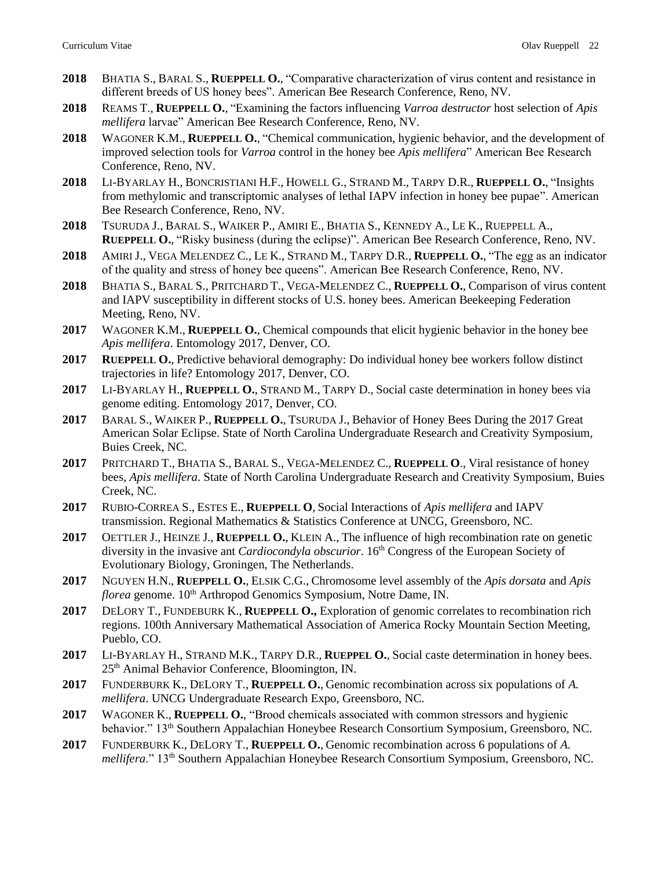- **2018** BHATIA S., BARAL S., **RUEPPELL O.**, "Comparative characterization of virus content and resistance in different breeds of US honey bees". American Bee Research Conference, Reno, NV.
- **2018** REAMS T., **RUEPPELL O.**, "Examining the factors influencing *Varroa destructor* host selection of *Apis mellifera* larvae" American Bee Research Conference, Reno, NV.
- **2018** WAGONER K.M., **RUEPPELL O.**, "Chemical communication, hygienic behavior, and the development of improved selection tools for *Varroa* control in the honey bee *Apis mellifera*" American Bee Research Conference, Reno, NV.
- **2018** LI-BYARLAY H., BONCRISTIANI H.F., HOWELL G., STRAND M., TARPY D.R., **RUEPPELL O.**, "Insights from methylomic and transcriptomic analyses of lethal IAPV infection in honey bee pupae". American Bee Research Conference, Reno, NV.
- **2018** TSURUDA J., BARAL S., WAIKER P., AMIRI E., BHATIA S., KENNEDY A., LE K., RUEPPELL A., **RUEPPELL O.**, "Risky business (during the eclipse)". American Bee Research Conference, Reno, NV.
- **2018** AMIRI J., VEGA MELENDEZ C., LE K., STRAND M., TARPY D.R., **RUEPPELL O.**, "The egg as an indicator of the quality and stress of honey bee queens". American Bee Research Conference, Reno, NV.
- **2018** BHATIA S., BARAL S., PRITCHARD T., VEGA-MELENDEZ C., **RUEPPELL O.**, Comparison of virus content and IAPV susceptibility in different stocks of U.S. honey bees. American Beekeeping Federation Meeting, Reno, NV.
- **2017** WAGONER K.M., **RUEPPELL O.**, Chemical compounds that elicit hygienic behavior in the honey bee *Apis mellifera*. Entomology 2017, Denver, CO.
- **2017 RUEPPELL O.**, Predictive behavioral demography: Do individual honey bee workers follow distinct trajectories in life? Entomology 2017, Denver, CO.
- **2017** LI-BYARLAY H., **RUEPPELL O.**, STRAND M., TARPY D., Social caste determination in honey bees via genome editing. Entomology 2017, Denver, CO.
- **2017** BARAL S., WAIKER P., **RUEPPELL O.**, TSURUDA J., Behavior of Honey Bees During the 2017 Great American Solar Eclipse. State of North Carolina Undergraduate Research and Creativity Symposium, Buies Creek, NC.
- **2017** PRITCHARD T., BHATIA S., BARAL S., VEGA-MELENDEZ C., **RUEPPELL O**., Viral resistance of honey bees, *Apis mellifera*. State of North Carolina Undergraduate Research and Creativity Symposium, Buies Creek, NC.
- **2017** RUBIO-CORREA S., ESTES E., **RUEPPELL O**, Social Interactions of *Apis mellifera* and IAPV transmission. Regional Mathematics & Statistics Conference at UNCG, Greensboro, NC.
- **2017** OETTLER J., HEINZE J., **RUEPPELL O.**, KLEIN A., The influence of high recombination rate on genetic diversity in the invasive ant *Cardiocondyla obscurior*. 16th Congress of the European Society of Evolutionary Biology, Groningen, The Netherlands.
- **2017** NGUYEN H.N., **RUEPPELL O.**, ELSIK C.G., Chromosome level assembly of the *Apis dorsata* and *Apis florea* genome. 10<sup>th</sup> Arthropod Genomics Symposium, Notre Dame, IN.
- **2017** DELORY T., FUNDEBURK K., **RUEPPELL O.,** Exploration of genomic correlates to recombination rich regions. 100th Anniversary Mathematical Association of America Rocky Mountain Section Meeting, Pueblo, CO.
- **2017** LI-BYARLAY H., STRAND M.K., TARPY D.R., **RUEPPEL O.**, Social caste determination in honey bees. 25th Animal Behavior Conference, Bloomington, IN.
- **2017** FUNDERBURK K., DELORY T., **RUEPPELL O.**, Genomic recombination across six populations of *A. mellifera*. UNCG Undergraduate Research Expo, Greensboro, NC.
- **2017** WAGONER K., **RUEPPELL O.**, "Brood chemicals associated with common stressors and hygienic behavior." 13th Southern Appalachian Honeybee Research Consortium Symposium, Greensboro, NC.
- **2017** FUNDERBURK K., DELORY T., **RUEPPELL O.**, Genomic recombination across 6 populations of *A. mellifera*." 13th Southern Appalachian Honeybee Research Consortium Symposium, Greensboro, NC.